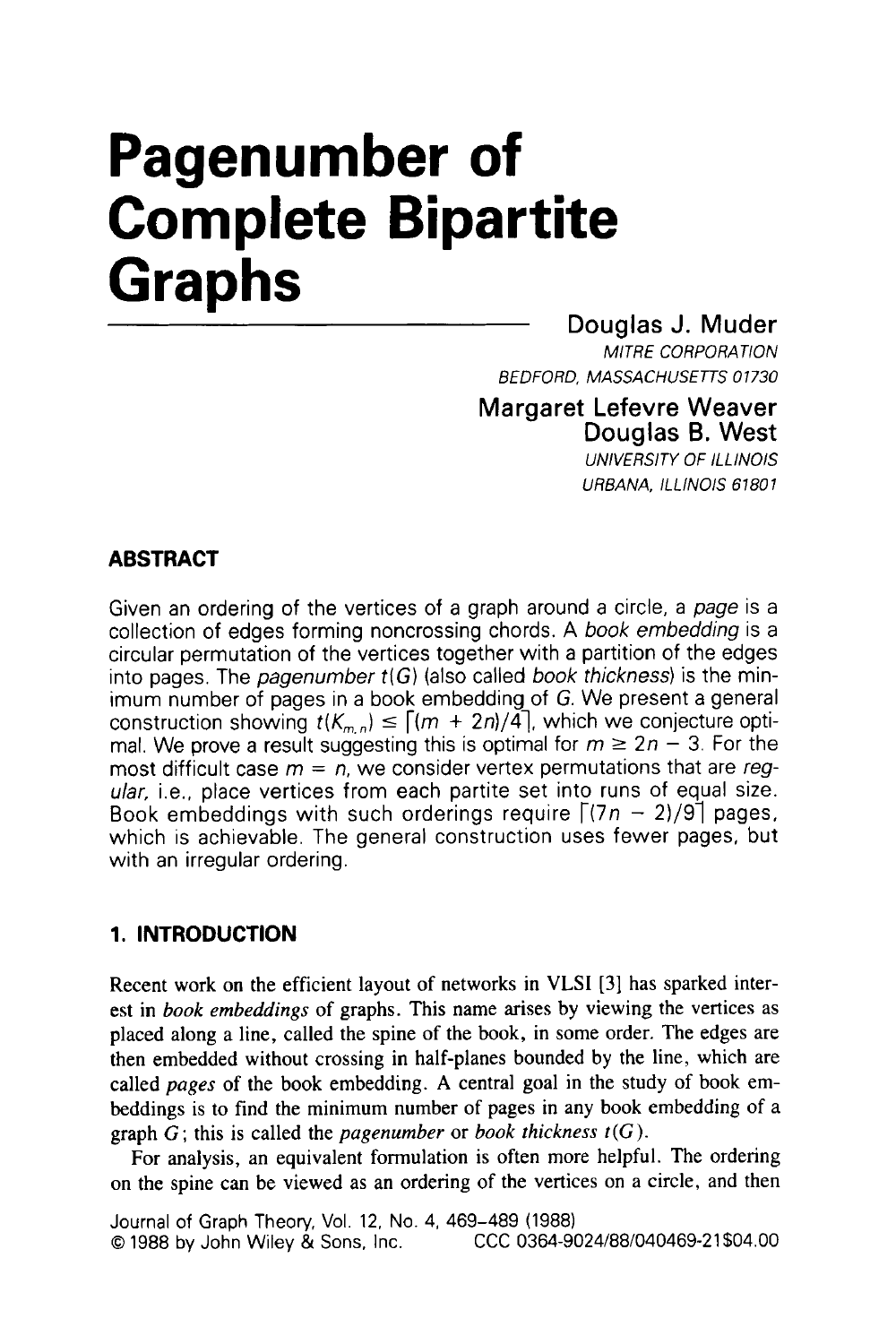# **Pagenumber of Complete Bipartite Graphs**

# Douglas J. Muder

*MlTRE CORPORATlON BEDFORD, MASSACHUSETTS 01730* 

## Margaret Lefevre Weaver Douglas **6.** West

*UNlVERSlTY Of lLLlNOlS URBANA, lLLlNOlS 67801* 

## **ABSTRACT**

Given an ordering of the vertices of a graph around a circle, a *page* is a collection of edges forming noncrossing chords. **A** *book embedding* is a circular permutation of the vertices together with a partition of the edges into pages. The *pagenumber t(G)* (also called *book thickness)* is the minimum number of pages in a book embedding of G. We present a general construction showing  $t(K_{m,n}) \leq \lceil (m + 2n)/4 \rceil$ , which we conjecture opti-<br>mal. We prove a result suggesting this is optimal for  $m \geq 2n - 3$ . For the most difficult case  $m = n$ , we consider vertex permutations that are *regular,* i.e., place vertices from each partite set into runs of equal size. Book embeddings with such orderings require  $\lceil (7n - 2)/9 \rceil$  pages, which is achievable. The general construction uses fewer pages, but with an irregular ordering.

## **1. INTRODUCTION**

Recent work on the efficient layout of networks in **VLSI [3]** has sparked interest in *book embeddings* of graphs. This name arises by viewing the vertices as placed along a line, called the spine of the book, in some order. The edges are then embedded without crossing in half-planes bounded by the line, which are called *pages* of the book embedding. **A** central goal in the study of book embeddings is to find the minimum number of pages in any book embedding of a graph *G;* this is called the *pagenumber* or *book thickness t(G).* 

For analysis, an equivalent formulation is often more helpful. The ordering on the spine can be viewed as an ordering of the vertices on a circle, and then

Journal of Graph Theory, Vol. 12, No. 4, 469-489 (1988) **0 1988 by John Wiley & Sons, Inc.**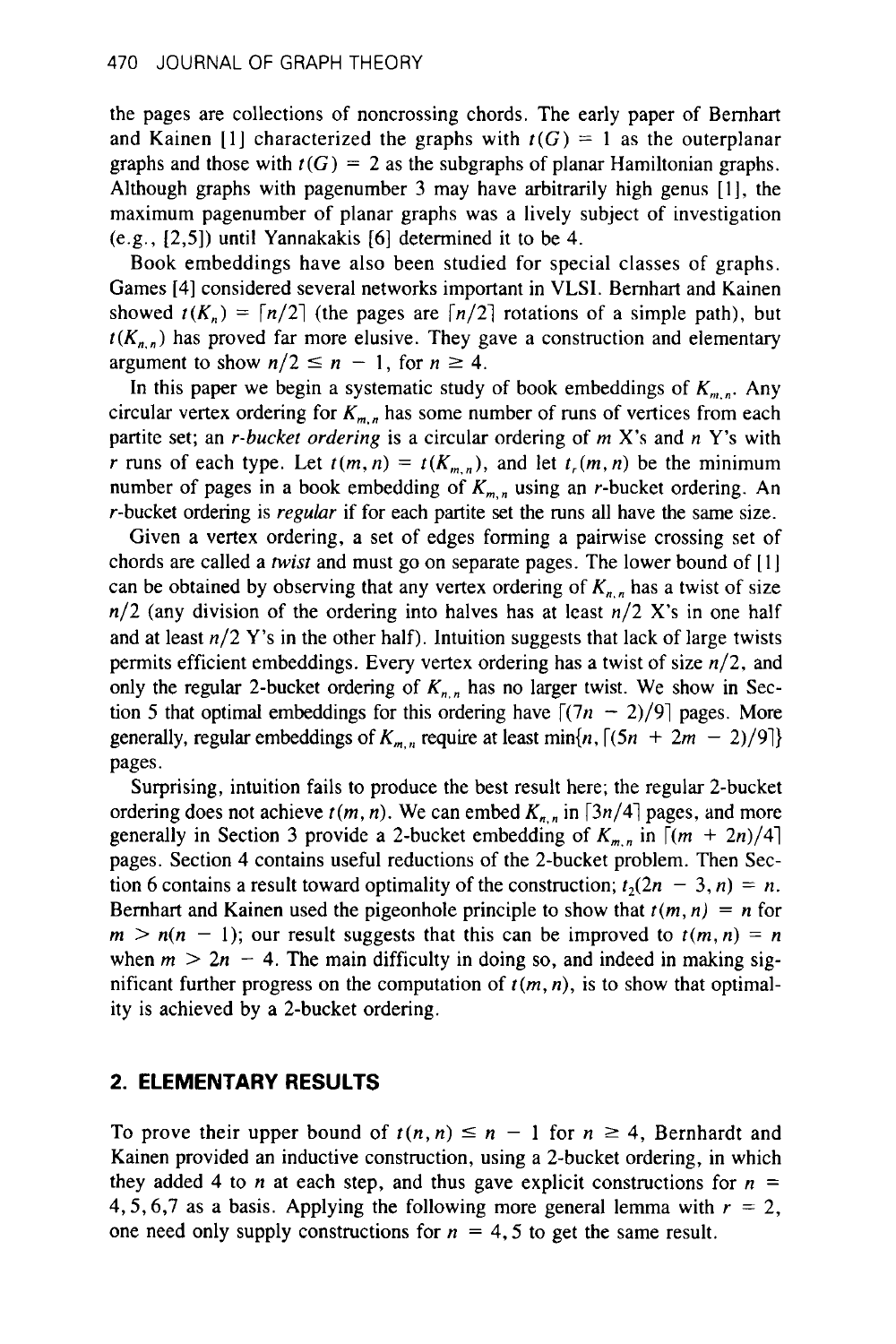the pages are collections of noncrossing chords. The early paper of Bernhart and Kainen [1] characterized the graphs with  $r(G) = 1$  as the outerplanar graphs and those with  $t(G) = 2$  as the subgraphs of planar Hamiltonian graphs. Although graphs with pagenumber 3 may have arbitrarily high genus [I], the maximum pagenumber of planar graphs was a lively subject of investigation (e.g., [2,5]) until Yannakakis [6] determined it to be 4.

Book embeddings have also been studied for special classes of graphs. Games [4] considered several networks important in **VLSI.** Bernhart and Kainen showed  $t(K_n) = \lceil n/2 \rceil$  (the pages are  $\lceil n/2 \rceil$  rotations of a simple path), but  $t(K_{n,n})$  has proved far more elusive. They gave a construction and elementary argument to show  $n/2 \le n - 1$ , for  $n \ge 4$ .  $t(K_{n,n})$  has proved far more elusive. They gave a construction and elementary

In this paper we begin a systematic study of book embeddings of  $K_{m,n}$ . Any circular vertex ordering for  $K_{m,n}$  has some number of runs of vertices from each partite set; an r-bucket ordering is a circular ordering of m **X's** and *n* **Y's** with r runs of each type. Let  $t(m, n) = t(K_{m,n})$ , and let  $t(m, n)$  be the minimum number of pages in a book embedding of  $K_{m,n}$  using an *r*-bucket ordering. An r-bucket ordering is regular if for each partite set the runs all have the same size.

Given a vertex ordering, a set of edges forming a pairwise crossing set of chords are called a *twist* and must go on separate pages. The lower bound of  $[1]$ can be obtained by observing that any vertex ordering of  $K_{n}$ , has a twist of size n/2 (any division of the ordering into halves has at least n/2 **X's** in one half and at least  $n/2$  Y's in the other half). Intuition suggests that lack of large twists permits efficient embeddings. Every vertex ordering has a twist of size  $n/2$ , and only the regular 2-bucket ordering of  $K_{n,n}$  has no larger twist. We show in Section 5 that optimal embeddings for this ordering have  $\lceil (7n - 2)/9 \rceil$  pages. More generally, regular embeddings of  $K_{m,n}$  require at least min{n,  $\lceil (5n + 2m - 2)/9 \rceil$ } pages.

Surprising, intuition fails **to** produce the best result here; the regular 2-bucket ordering does not achieve  $t(m, n)$ . We can embed  $K_{n, n}$  in  $\lceil 3n/4 \rceil$  pages, and more generally in Section 3 provide a 2-bucket embedding of  $K_{m,n}$  in  $[(m + 2n)/4]$ pages. Section 4 contains useful reductions of the 2-bucket problem. Then Section 6 contains a result toward optimality of the construction;  $t_2(2n - 3, n) = n$ . Bernhart and Kainen used the pigeonhole principle to show that  $t(m, n) = n$  for  $m > n(n - 1)$ ; our result suggests that this can be improved to  $t(m, n) = n$ when  $m > 2n - 4$ . The main difficulty in doing so, and indeed in making significant further progress on the computation of  $t(m, n)$ , is to show that optimality is achieved by a 2-bucket ordering.

#### **2. ELEMENTARY RESULTS**

To prove their upper bound of  $t(n, n) \leq n - 1$  for  $n \geq 4$ , Bernhardt and Kainen provided an inductive construction, using a 2-bucket ordering, in which they added 4 to *n* at each step, and thus gave explicit constructions for  $n =$ 4, 5, 6,7 as a basis. Applying the following more general lemma with  $r = 2$ , one need only supply constructions for  $n = 4, 5$  to get the same result.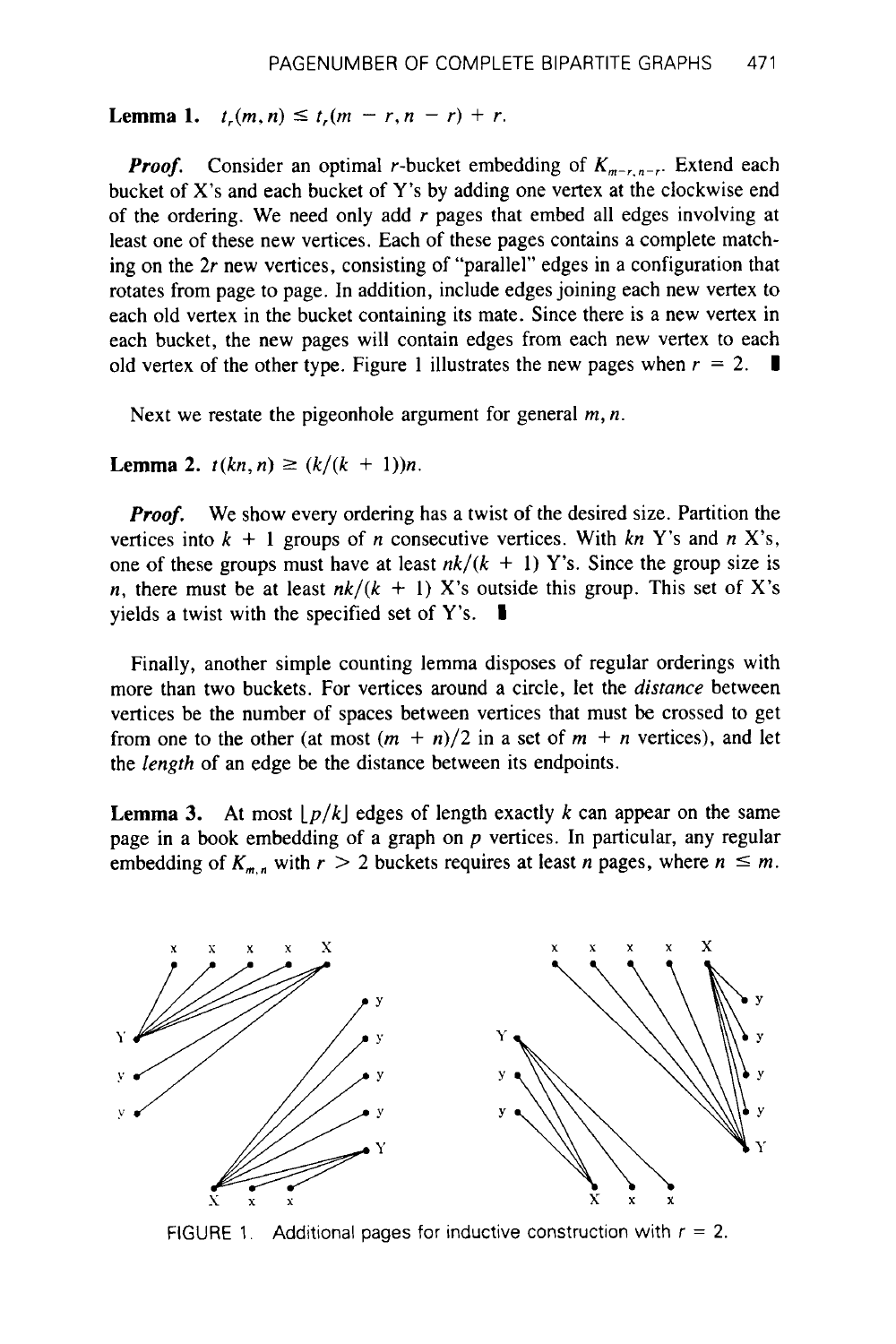**Lemma 1.**  $t_r(m,n) \le t_r(m-r,n-r) + r$ .

*Proof.* Consider an optimal r-bucket embedding of  $K_{m-r,n-r}$ . Extend each bucket of **X's** and each bucket of Y's by adding one vertex at the clockwise end of the ordering. We need only add  $r$  pages that embed all edges involving at least one of these new vertices. Each of these pages contains a complete matching on the 2r new vertices, consisting of "parallel" edges in a configuration that rotates from page to page. In addition, include edges joining each new vertex to each old vertex in the bucket containing its mate. Since there is a new vertex in each bucket, the new pages will contain edges from each new vertex to each old vertex of the other type. Figure 1 illustrates the new pages when  $r = 2$ .

Next we restate the pigeonhole argument for general *m*, *n*.

**Lemma 2.**  $t(kn, n) \ge (k/(k + 1))n$ .

*Proof.* We show every ordering has a twist of the desired size. Partition the vertices into  $k + 1$  groups of *n* consecutive vertices. With  $kn$  Y's and  $n$  X's, one of these groups must have at least  $nk/(k + 1)$  Y's. Since the group size is *n*, there must be at least  $nk/(k + 1)$  X's outside this group. This set of X's yields a twist with the specified set of **Y's. I** 

Finally, another simple counting lemma disposes of regular orderings with more than two buckets. For vertices around a circle, let the *distance* between vertices be the number of spaces between vertices that must be crossed to get from one to the other (at most  $(m + n)/2$  in a set of  $m + n$  vertices), and let the *length* of an edge be the distance between its endpoints.

**Lemma 3.** At most  $|p/k|$  edges of length exactly k can appear on the same page in a book embedding of a graph on *p* vertices. In particular, any regular **Lemma 3.** At most  $\lfloor p/k \rfloor$  edges of length exactly k can appear on the same page in a book embedding of a graph on p vertices. In particular, any regular embedding of  $K_{m,n}$  with  $r > 2$  buckets requires at least n pag



FIGURE 1. Additional pages for inductive construction with  $r = 2$ .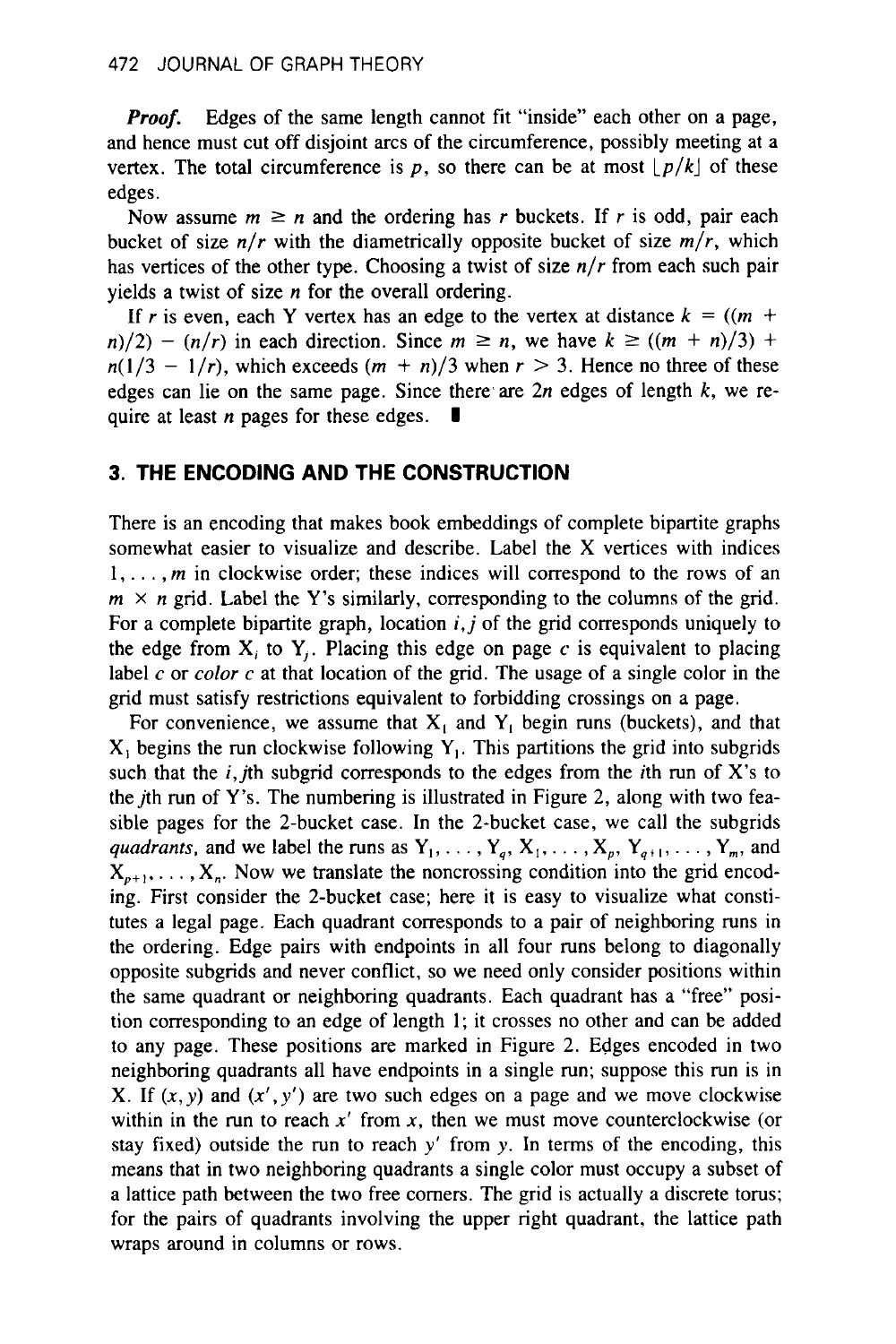*Proof.* Edges of the same length cannot fit "inside" each other on a page, and hence must cut off disjoint arcs of the circumference, possibly meeting at a vertex. The total circumference is  $p$ , so there can be at most  $\lfloor p/k \rfloor$  of these edges.

Now assume  $m \ge n$  and the ordering has *r* buckets. If *r* is odd, pair each bucket of size  $n/r$  with the diametrically opposite bucket of size  $m/r$ , which has vertices of the other type. Choosing a twist of size *n/r* from each such pair yields a twist of size *n* for the overall ordering.

If r is even, each Y vertex has an edge to the vertex at distance  $k = ((m +$  $(n/2) - (n/r)$  in each direction. Since  $m \ge n$ , we have  $k \ge ((m + n)/3) + (2)$  $n(1/3 - 1/r)$ , which exceeds  $(m + n)/3$  when  $r > 3$ . Hence no three of these edges can lie on the same page. Since there are  $2n$  edges of length  $k$ , we re-<br>quire at least *n* pages for these edges.  $\blacksquare$ 

### **3. THE ENCODING AND THE CONSTRUCTION**

There is an encoding that makes book embeddings of complete bipartite graphs somewhat easier to visualize and describe. Label the **X** vertices with indices **1,** . . . , *m* in clockwise order; these indices will correspond to the rows of an  $m \times n$  grid. Label the Y's similarly, corresponding to the columns of the grid. For a complete bipartite graph, location *i,j* of the grid corresponds uniquely to the edge from  $X_i$  to  $Y_i$ . Placing this edge on page  $c$  is equivalent to placing label *c* or *color c* at that location of the grid. The usage of a single color in the grid must satisfy restrictions equivalent to forbidding crossings on a page.

For convenience, we assume that  $X_1$  and  $Y_1$  begin runs (buckets), and that X, begins the run clockwise following **Y,.** This partitions the grid into subgrids such that the  $i$ , jth subgrid corresponds to the edges from the *i*th run of X's to the *j*th run of Y's. The numbering is illustrated in Figure 2, along with two feasible pages for the 2-bucket case. In the 2-bucket case, we call the subgrids *quadrants, and we label the runs as*  $Y_1, \ldots, Y_a, X_1, \ldots, X_n, Y_{a+1}, \ldots, Y_m$ , and  $X_{n+1}, \ldots, X_n$ . Now we translate the noncrossing condition into the grid encoding. First consider the 2-bucket case; here it is easy to visualize what constitutes a legal page. Each quadrant corresponds to a pair of neighboring runs in the ordering. Edge pairs with endpoints in all four runs belong to diagonally opposite subgrids and never conflict, so we need only consider positions within the same quadrant or neighboring quadrants. Each quadrant has a "free" position corresponding to **an** edge of length 1; it crosses no other and can be added to any page. These positions are marked in Figure 2. Edges encoded in two neighboring quadrants all have endpoints in a single run; suppose this run is in **X**. If  $(x, y)$  and  $(x', y')$  are two such edges on a page and we move clockwise within in the run to reach  $x'$  from  $x$ , then we must move counterclockwise (or stay fixed) outside the run to reach  $y'$  from y. In terms of the encoding, this means that in two neighboring quadrants a single color must occupy a subset of a lattice path between the two free comers. The grid is actually a discrete torus; for the pairs of quadrants involving the upper right quadrant, the lattice path wraps around in columns or rows.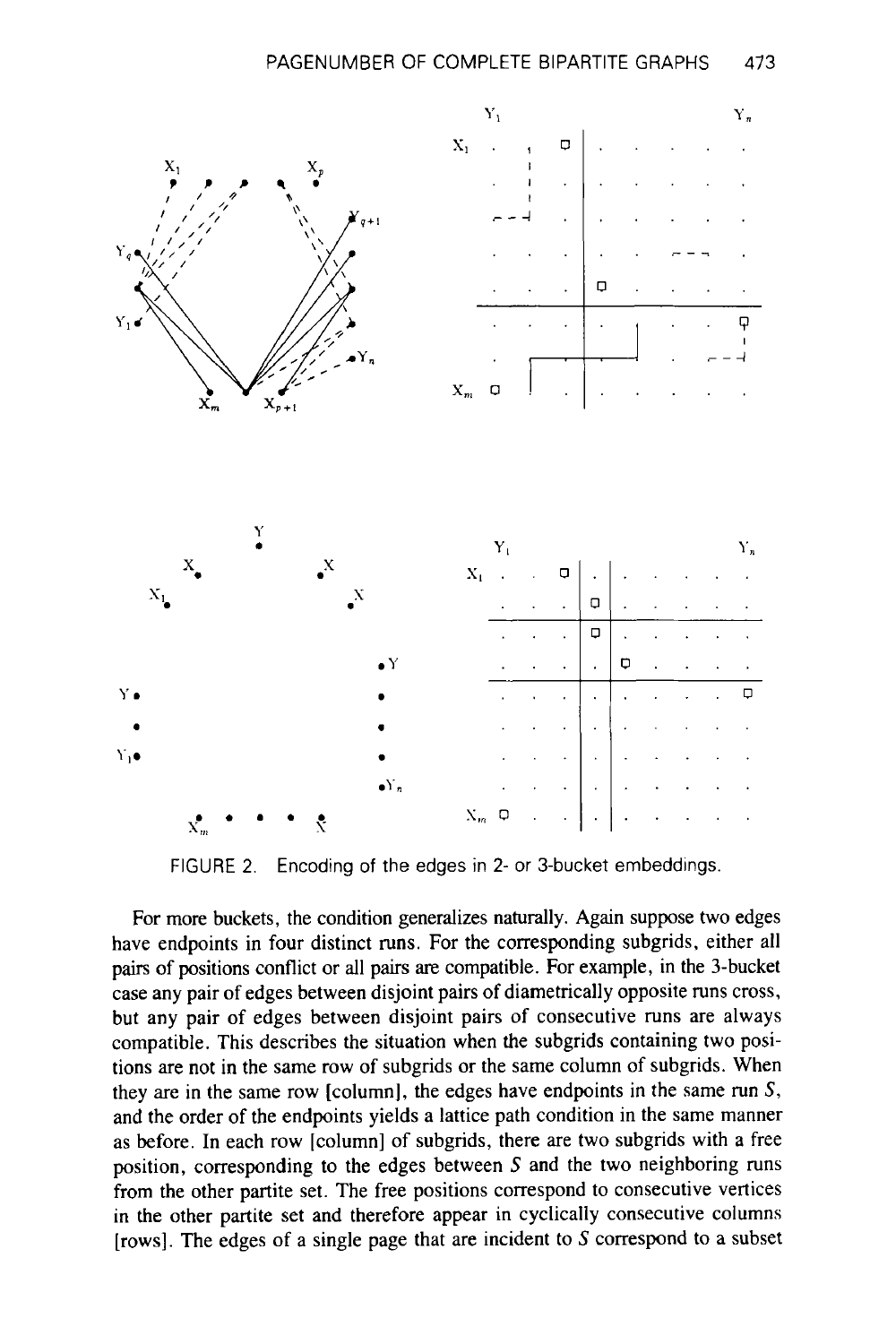

FIGURE 2. Encoding of the edges in 2- or 3-bucket embeddings.

For more buckets, the condition generalizes naturally. Again suppose two edges have endpoints in four distinct runs. For the corresponding subgrids, either all pairs of positions conflict or all pairs **are** compatible. For example, in the 3-bucket case any pair of edges between disjoint pairs of diametrically opposite runs cross, but any pair of edges between disjoint pairs of consecutive runs are always compatible. This describes the situation when the subgrids containing two positions are not in the same row of subgrids **or** the same column of subgrids. When they are in the same row [column], the edges have endpoints in the same run S, and the order of the endpoints yields a lattice path condition in the same manner as before. In each row [column] of subgrids, there are two subgrids with a free position, corresponding to the edges between S and the two neighboring runs from the other partite set. The free positions correspond to consecutive vertices in the other partite set and therefore appear in cyclically consecutive columns [rows]. The edges of a single page that are incident to  $S$  correspond to a subset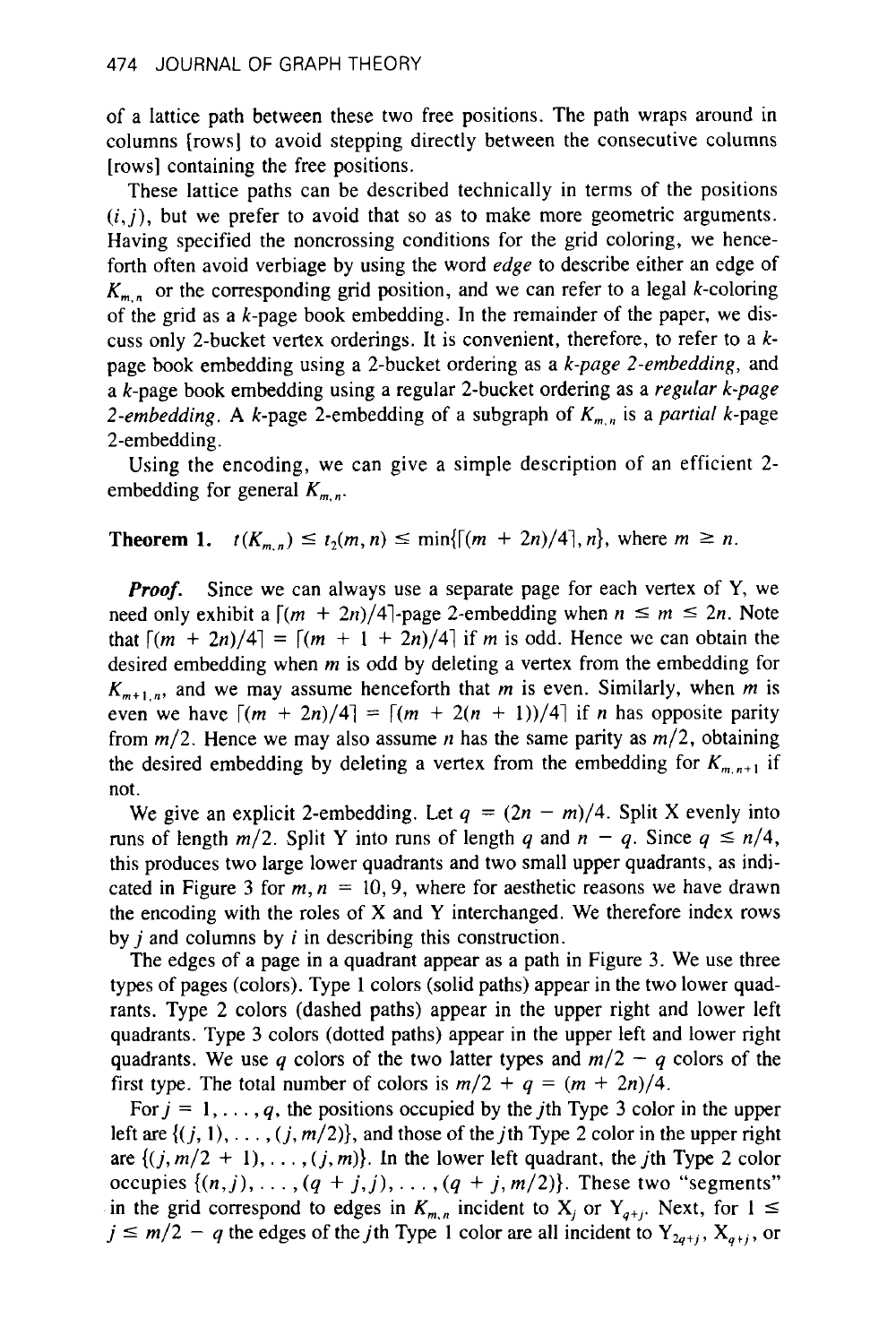of a lattice path between these two free positions. The path wraps around in columns [rows] to avoid stepping directly between the consecutive columns [rows] containing the free positions.

These lattice paths can be described technically in terms of the positions  $(i, j)$ , but we prefer to avoid that so as to make more geometric arguments. Having specified the noncrossing conditions for the grid coloring, we henceforth often avoid verbiage by using the word *edge* to describe either an edge of  $K_{m,n}$  or the corresponding grid position, and we can refer to a legal k-coloring of the grid as a k-page book embedding. **In** the remainder of the paper, we discuss only 2-bucket vertex orderings. It is convenient, therefore, to refer to a kpage book embedding using a 2-bucket ordering as a k-page 2-embedding, and a k-page book embedding using a regular 2-bucket ordering as a regular k-page 2-embedding. A *k*-page 2-embedding of a subgraph of  $K_{m,n}$  is a partial *k*-page 2-embedding.

Using the encoding, we can give a simple description of an efficient 2 embedding for general  $K_{m,n}$ .

#### **Theorem 1.**  $t(K_{m,n}) \le t_2(m,n) \le \min\{[(m+2n)/4], n\}$ , where  $m \ge n$ .

*Proof.* Since we can always use a separate page for each vertex of Y, we need only exhibit a  $\lceil (m + 2n)/4 \rceil$ -page 2-embedding when  $n \le m \le 2n$ . Note that  $\lceil (m + 2n)/4 \rceil = \lceil (m + 1 + 2n)/4 \rceil$  if *m* is odd. Hence we can obtain the desired embedding when *m* is odd by deleting a vertex from the embedding for  $K_{m+1,n}$ , and we may assume henceforth that *m* is even. Similarly, when *m* is even we have  $\lceil (m + 2n)/4 \rceil = \lceil (m + 2(n + 1))/4 \rceil$  if *n* has opposite parity from m/2. Hence we may also assume *n* has the same parity as m/2, obtaining the desired embedding by deleting a vertex from the embedding for  $K_{m,n+1}$  if not.

We give an explicit 2-embedding. Let  $q = (2n - m)/4$ . Split X evenly into runs of length  $m/2$ . Split Y into runs of length *q* and  $n - q$ . Since  $q \le n/4$ , this produces two large lower quadrants and two small upper quadrants, as indicated in Figure 3 for  $m, n = 10, 9$ , where for aesthetic reasons we have drawn the encoding with the roles of **X** and Y interchanged. We therefore index rows by  $i$  and columns by  $i$  in describing this construction.

The edges of a page in a quadrant appear as a path in Figure 3. We use three types of pages (colors). Type **1** colors (solid paths) appear in the two lower quadrants. Type 2 colors (dashed paths) appear in the upper right and lower left quadrants. Type 3 colors (dotted paths) appear in the upper left and lower right quadrants. We use *q* colors of the two latter types and  $m/2 - q$  colors of the first type. The total number of colors is  $m/2 + q = (m + 2n)/4$ .

For  $j = 1, \ldots, q$ , the positions occupied by the *j*th Type 3 color in the upper left are  $\{(j, 1), \ldots, (j, m/2)\}$ , and those of the *j*th Type 2 color in the upper right are  $\{(j, m/2 + 1), \ldots, (j, m)\}\)$ . In the lower left quadrant, the *j*th Type 2 color occupies  $\{(n,j), \ldots, (q+j,j), \ldots, (q+j,m/2)\}$ . These two "segments" in the grid correspond to edges in  $K_{m,n}$  incident to  $X_j$  or  $Y_{q+j}$ . Reset we "segments"<br>in the grid correspond to edges in  $K_{m,n}$  incident to  $X_j$  or  $Y_{q+j}$ . Next, for  $1 \leq$ <br> $i \leq m/2 = a$  the edges of the *i*th Type are  $\{(f, m/2 + 1), \ldots, (f, m)\}$ . In the lower left quadrant, the full 1ype 2 color<br>occupies  $\{(n, j), \ldots, (q + j, j), \ldots, (q + j, m/2)\}$ . These two "segments"<br>in the grid correspond to edges in  $K_{m,n}$  incident to  $X_j$  or  $Y_{q+j}$ . Next,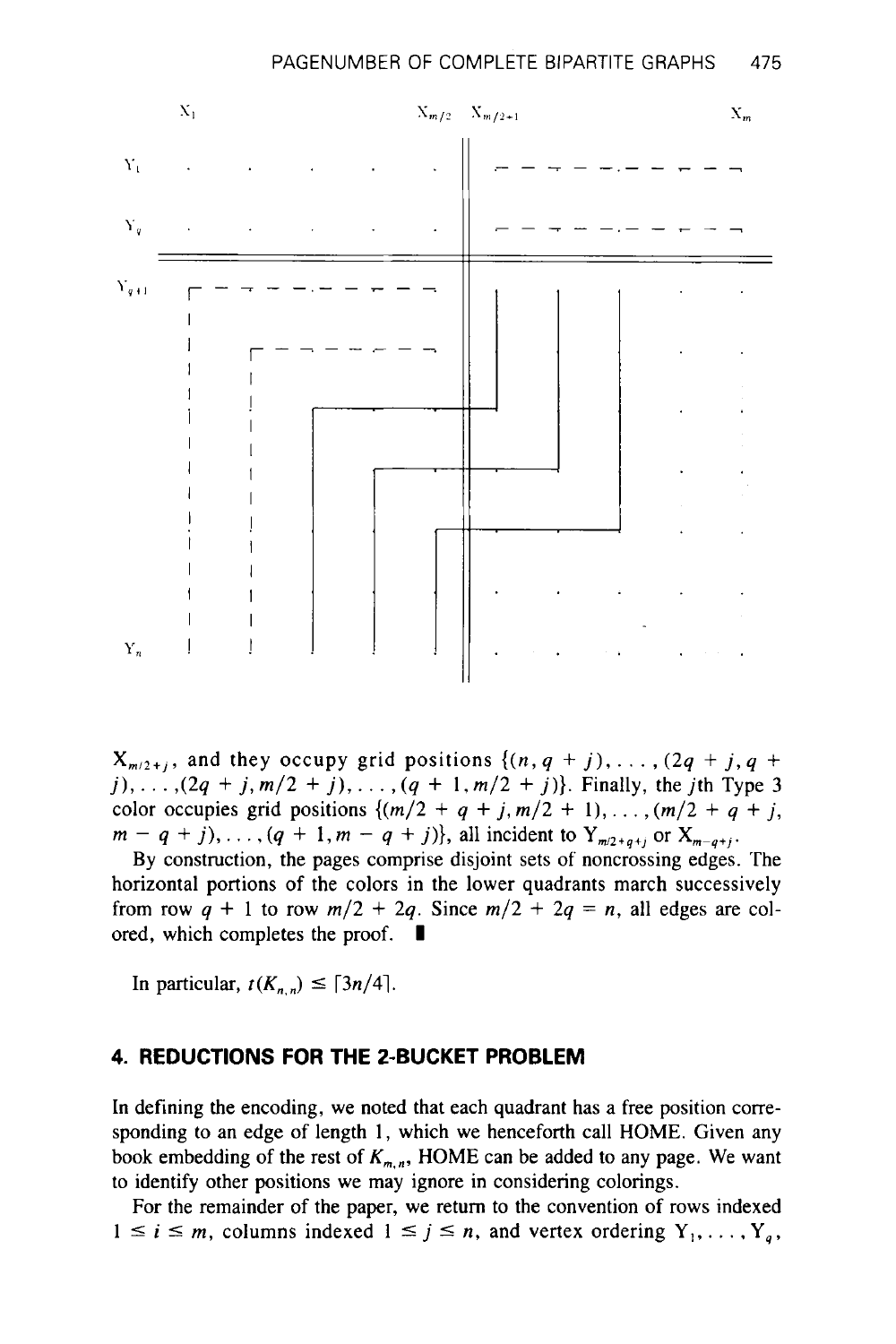

 $X_{m/2+j}$ , and they occupy grid positions  $\{(n, q + j), \ldots, (2q + j, q + j)\}$  $j$ ,...,  $(2q + j, m/2 + j)$ ,...,  $(q + 1, m/2 + j)$ }. Finally, the *j*th Type 3 color occupies grid positions  $\{(m/2 + q + j, m/2 + 1), \ldots, (m/2 + q + j,$  $m - q + j$ , ...,  $(q + 1, m - q + j)$ , all incident to  $Y_{m/2+q+j}$  or  $X_{m-q+j}$ .

By construction, the pages comprise disjoint sets of noncrossing edges. The horizontal portions of the colors in the lower quadrants march successively from row  $q + 1$  to row  $m/2 + 2q$ . Since  $m/2 + 2q = n$ , all edges are colored, which completes the proof.  $\blacksquare$ ored, which completes the proof.<br>In particular,  $t(K_{n,n}) \leq \lceil 3n/4 \rceil$ .

#### **4. REDUCTIONS FOR THE 2-BUCKET PROBLEM**

In defining the encoding, we noted that each quadrant has a free position corresponding to an edge of length **1,** which we henceforth call HOME. Given any book embedding of the rest of  $K_{m,n}$ , HOME can be added to any page. We want to identify other positions we may ignore in considering colorings.

For the remainder of the paper, we return to the convention **of** rows indexed  $1 \leq i \leq m$ , columns indexed  $1 \leq j \leq n$ , and vertex ordering  $Y_1, \ldots, Y_a$ ,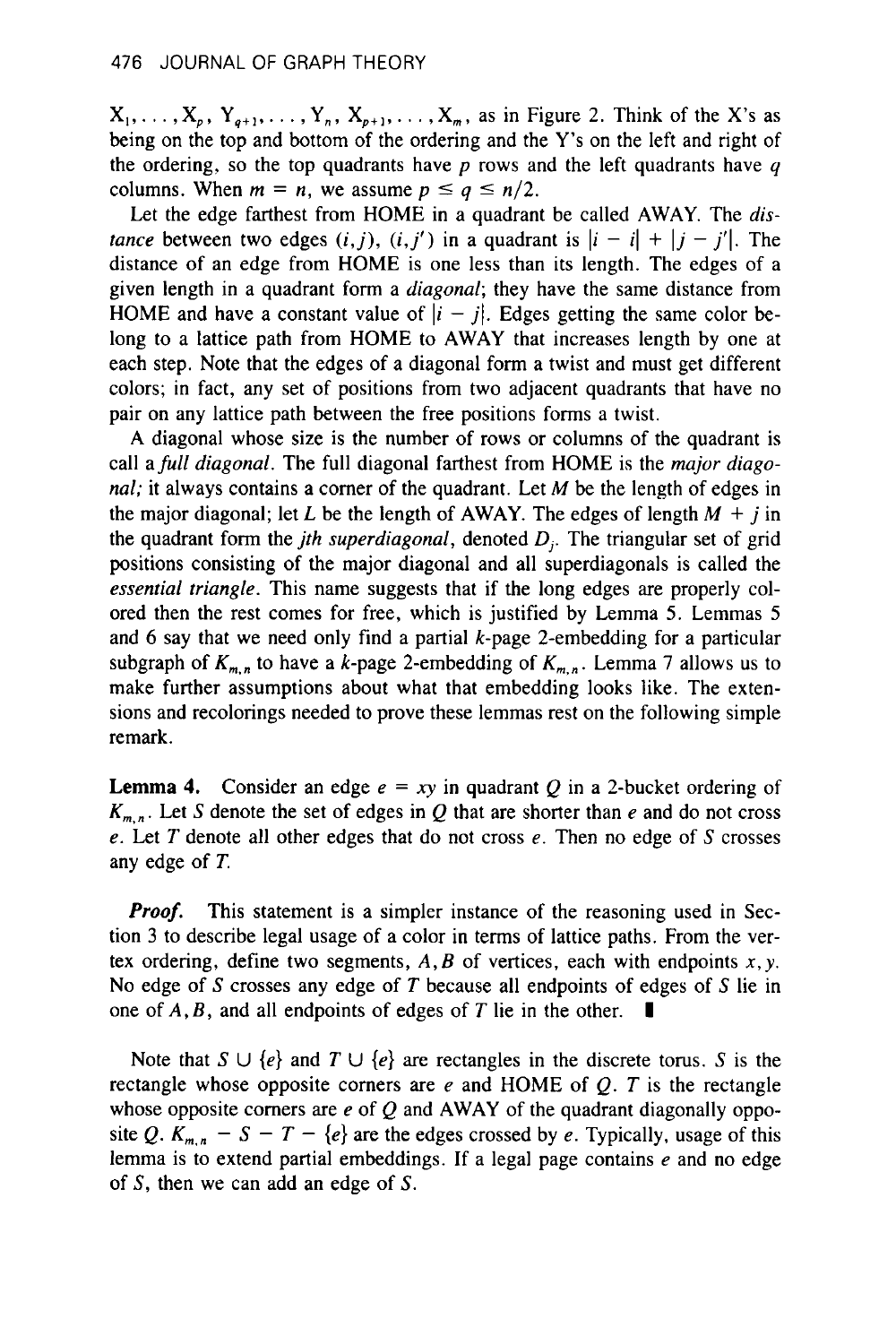$X_1, \ldots, X_p, Y_{q+1}, \ldots, Y_n, X_{p+1}, \ldots, X_m$ , as in Figure 2. Think of the X's as being on the top and bottom of the ordering and the Y's on the left and right of the ordering, so the top quadrants have *p* rows and the left quadrants have **y**  columns. When  $m = n$ , we assume  $p \le q \le n/2$ .

Let the edge farthest from HOME in a quadrant be called AWAY. The *distance* between two edges  $(i, j)$ ,  $(i, j')$  in a quadrant is  $|i - i| + |j - j'|$ . The distance of an edge from HOME is one less than its length. The edges of a given length in a quadrant form a *diagonal;* they have the same distance from HOME and have a constant value of  $|i - j|$ . Edges getting the same color belong to a lattice path from HOME to AWAY that increases length by one at each step. Note that the edges of a diagonal form a twist and must get different colors; in fact, any set of positions from two adjacent quadrants that have no pair on any lattice path between the free positions forms a twist.

A diagonal whose size is the number of rows or columns of the quadrant is call a *full diagonal.* The full diagonal farthest from HOME is the *major diagonal;* it always contains a comer of the quadrant. Let *M* be the length of edges in the major diagonal; let *L* be the length of AWAY. The edges of length  $M + j$  in the quadrant form the *jth superdiagonal,* denoted *0,.* The triangular set of grid positions consisting of the major diagonal and all superdiagonals is called the *essential triangle.* This name suggests that if the long edges are properly colored then the rest comes for free, which is justified by Lemma 5. Lemmas 5 and *6* say that we need only find a partial k-page 2-embedding for a particular subgraph of  $K_{m,n}$  to have a k-page 2-embedding of  $K_{m,n}$ . Lemma 7 allows us to make further assumptions about what that embedding looks like. The extensions and recolorings needed to prove these lemmas rest on the following simple remark.

**Lemma 4.** Consider an edge  $e = xy$  in quadrant *Q* in a 2-bucket ordering of  $K_{m,n}$ . Let *S* denote the set of edges in *Q* that are shorter than *e* and do not cross *e.* Let *T* denote all other edges that do not cross *e.* Then no edge of *S* crosses any edge of *T.* 

*Proof.* This statement is a simpler instance of the reasoning used in Section **3** to describe legal usage of a color in terms of lattice paths. From the vertex ordering, define two segments,  $A, B$  of vertices, each with endpoints  $x, y$ . No edge of *S* crosses any edge of *T* because all endpoints of edges of *S* lie in one of **A,** *B,* and all endpoints of edges of *T* lie in the other. **I** 

Note that  $S \cup \{e\}$  and  $T \cup \{e\}$  are rectangles in the discrete torus. *S* is the rectangle whose opposite comers are *e* and HOME of *Q. T* is the rectangle whose opposite comers are *e* of *Q* and AWAY of the quadrant diagonally opposite Q.  $K_{m,n}$  –  $S - T - \{e\}$  are the edges crossed by *e*. Typically, usage of this lemma is to extend partial embeddings. If a legal page contains *e* and no edge of S, then we can add an edge of S.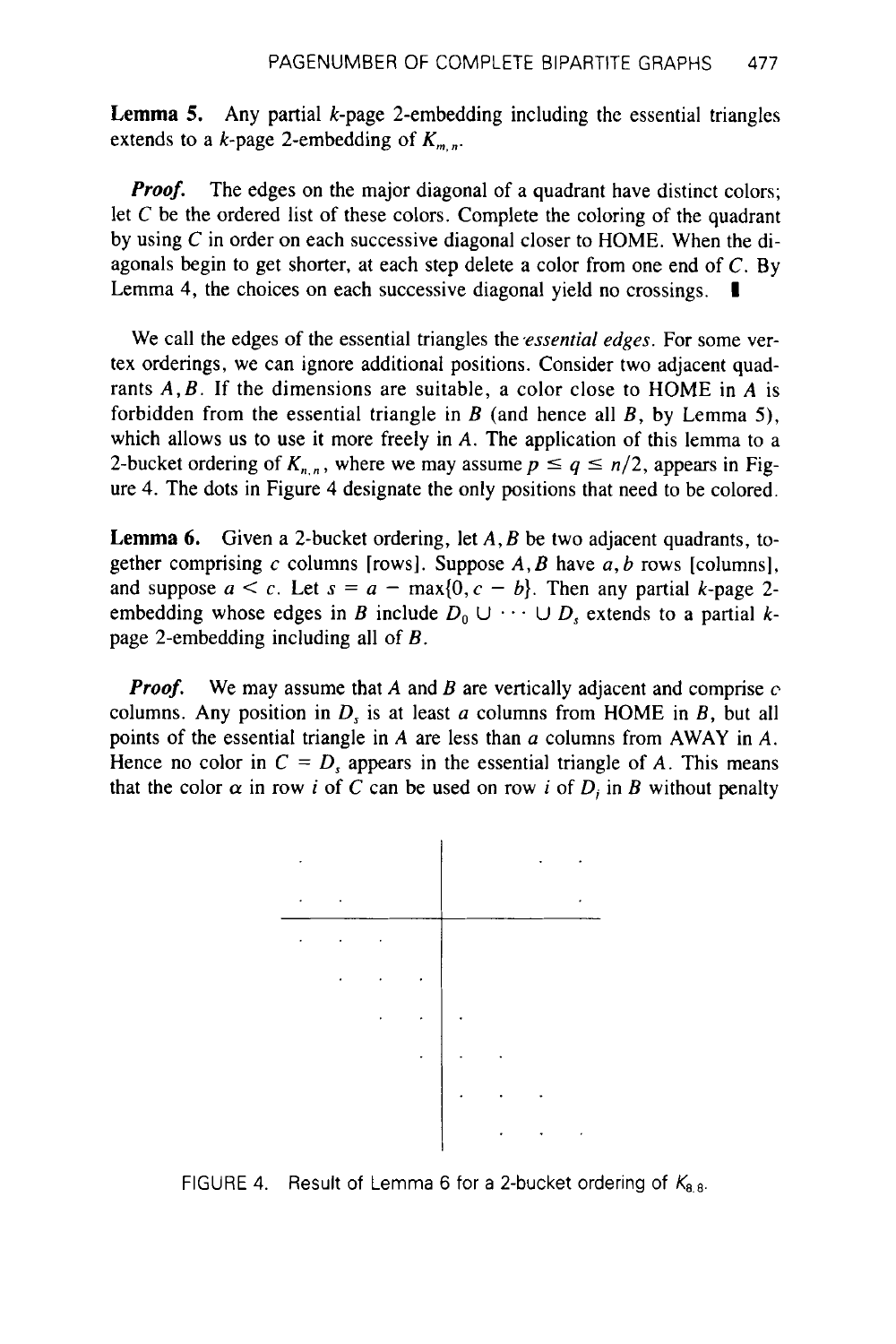**Lemma 5.** Any partial k-page 2-embedding including the essential triangles extends to a  $k$ -page 2-embedding of  $K_{m,n}$ .

*Proof.* The edges on the major diagonal of a quadrant have distinct colors; let  $C$  be the ordered list of these colors. Complete the coloring of the quadrant by using C in order on each successive diagonal closer to HOME. When the diagonals begin to get shorter, at each step delete a color from one end of C. By Lemma **4,** the choices on each successive diagonal yield no crossings. **I** 

We call the edges of the essential triangles the *essential edges*. For some vertex orderings, we can ignore additional positions. Consider two adjacent quadrants *A,B.* If the dimensions are suitable, a color close to HOME in *A* is forbidden from the essential triangle in *B* (and hence all *B,* by Lemma *5),*  which allows us to use it more freely in A. The application of this lemma to a 2-bucket ordering of  $K_{n,n}$ , where we may assume  $p \le q \le n/2$ , appears in Figure **4.** The dots in Figure **4** designate the only positions that need to be colored.

**Lemma 6.** Given a 2-bucket ordering, let *A, B* be two adjacent quadrants, together comprising c columns [rows]. Suppose *A, B* have a, *b* rows [columns], and suppose  $a < c$ . Let  $s = a - \max\{0, c - b\}$ . Then any partial k-page 2embedding whose edges in *B* include  $D_0 \cup \cdots \cup D_s$  extends to a partial *k*page 2-embedding including all of *B.* 

*Proof.* We may assume that *A* and *B* are vertically adjacent and comprise *c*  columns. Any position in  $D<sub>s</sub>$  is at least a columns from HOME in *B*, but all points of the essential triangle in **A** are less than *a* columns from AWAY in *A.*  Hence no color in  $C = D$ , appears in the essential triangle of *A*. This means that the color  $\alpha$  in row *i* of *C* can be used on row *i* of *D<sub>i</sub>* in *B* without penalty



FIGURE 4. Result of Lemma 6 for a 2-bucket ordering of  $K_{8,8}$ .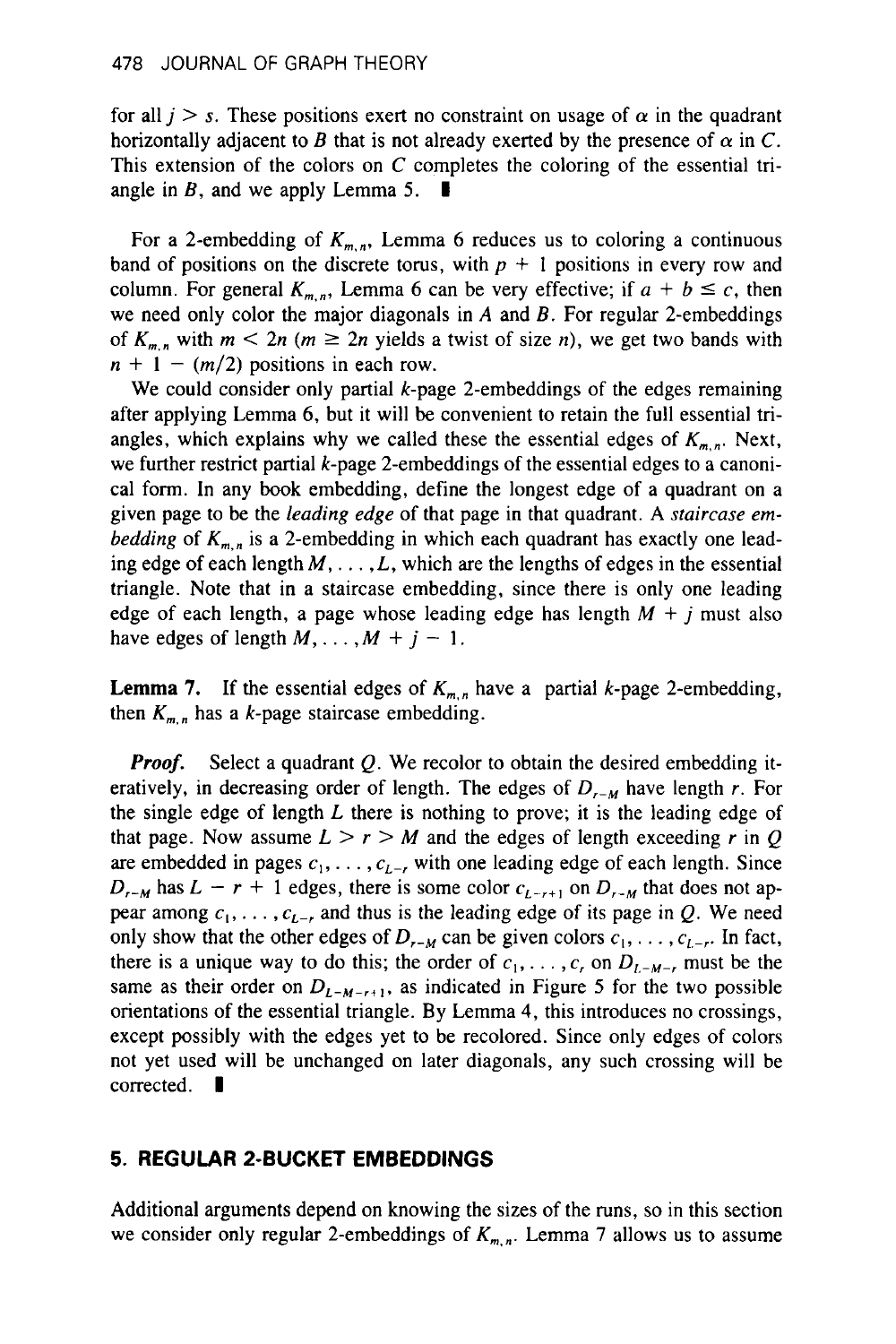for all  $j > s$ . These positions exert no constraint on usage of  $\alpha$  in the quadrant horizontally adjacent to *B* that is not already exerted by the presence of  $\alpha$  in C. This extension of the colors on C completes the coloring of the essential tri-<br>angle in *B*, and we apply Lemma 5.  $\blacksquare$ 

For a 2-embedding of  $K_{m,n}$ , Lemma 6 reduces us to coloring a continuous band of positions on the discrete torus, with  $p + 1$  positions in every row and column. For general  $K_{m,n}$ , Lemma 6 can be very effective; if  $a + b \leq c$ , then we need only color the major diagonals in *A* and *B.* For regular 2-embeddings of  $K_{m,n}$  with  $m < 2n$  ( $m \ge 2n$  yields a twist of size n), we get two bands with  $n + 1 - (m/2)$  positions in each row.

We could consider only partial  $k$ -page 2-embeddings of the edges remaining after applying Lemma **6,** but it will be convenient to retain the full essential triangles, which explains why we called these the essential edges of  $K_{m,n}$ . Next, we further restrict partial k-page 2-embeddings of the essential edges to a canonical form. **In** any **book** embedding, define the longest edge of a quadrant on a given page to be the leading edge of that page in that quadrant. **A** staircase *embedding* of  $K_{m,n}$  is a 2-embedding in which each quadrant has exactly one leading edge of each length *M,* . . . *,L,* which are the lengths of edges in the essential triangle. Note that in a staircase embedding, since there is only one leading edge of each length, a page whose leading edge has length *M* + *j* must also have edges of length  $M$ , ...,  $M + j - 1$ .

**Lemma 7.** If the essential edges of  $K_{m,n}$  have a partial k-page 2-embedding, then  $K_{m,n}$  has a k-page staircase embedding.

*Proof.* Select a quadrant Q. We recolor to obtain the desired embedding iteratively, in decreasing order of length. The edges of  $D_{r-M}$  have length r. For the single edge of length *L* there is nothing to prove; it is the leading edge of that page. Now assume  $L > r > M$  and the edges of length exceeding r in Q are embedded in pages  $c_1, \ldots, c_{L-r}$  with one leading edge of each length. Since  $D_{r-M}$  has  $L - r + 1$  edges, there is some color  $c_{L-r+1}$  on  $D_{r-M}$  that does not appear among  $c_1, \ldots, c_{L-r}$  and thus is the leading edge of its page in Q. We need only show that the other edges of  $D_{r-M}$  can be given colors  $c_1, \ldots, c_{L-r}$ . In fact, there is a unique way to do this; the order of  $c_1, \ldots, c_r$  on  $D_{L-M-r}$  must be the same as their order on  $D_{L-M-r+1}$ , as indicated in Figure 5 for the two possible orientations of the essential triangle. By Lemma **4,** this introduces no crossings, except possibly with the edges yet to be recolored. Since only edges of colors not yet used will be unchanged on later diagonals, any such crossing will be corrected.  $\blacksquare$ 

## **5. REGULAR 2-BUCKET EMBEDDINGS**

Additional arguments depend on knowing the sizes of the runs, so in this section we consider only regular 2-embeddings of  $K_{m,n}$ . Lemma 7 allows us to assume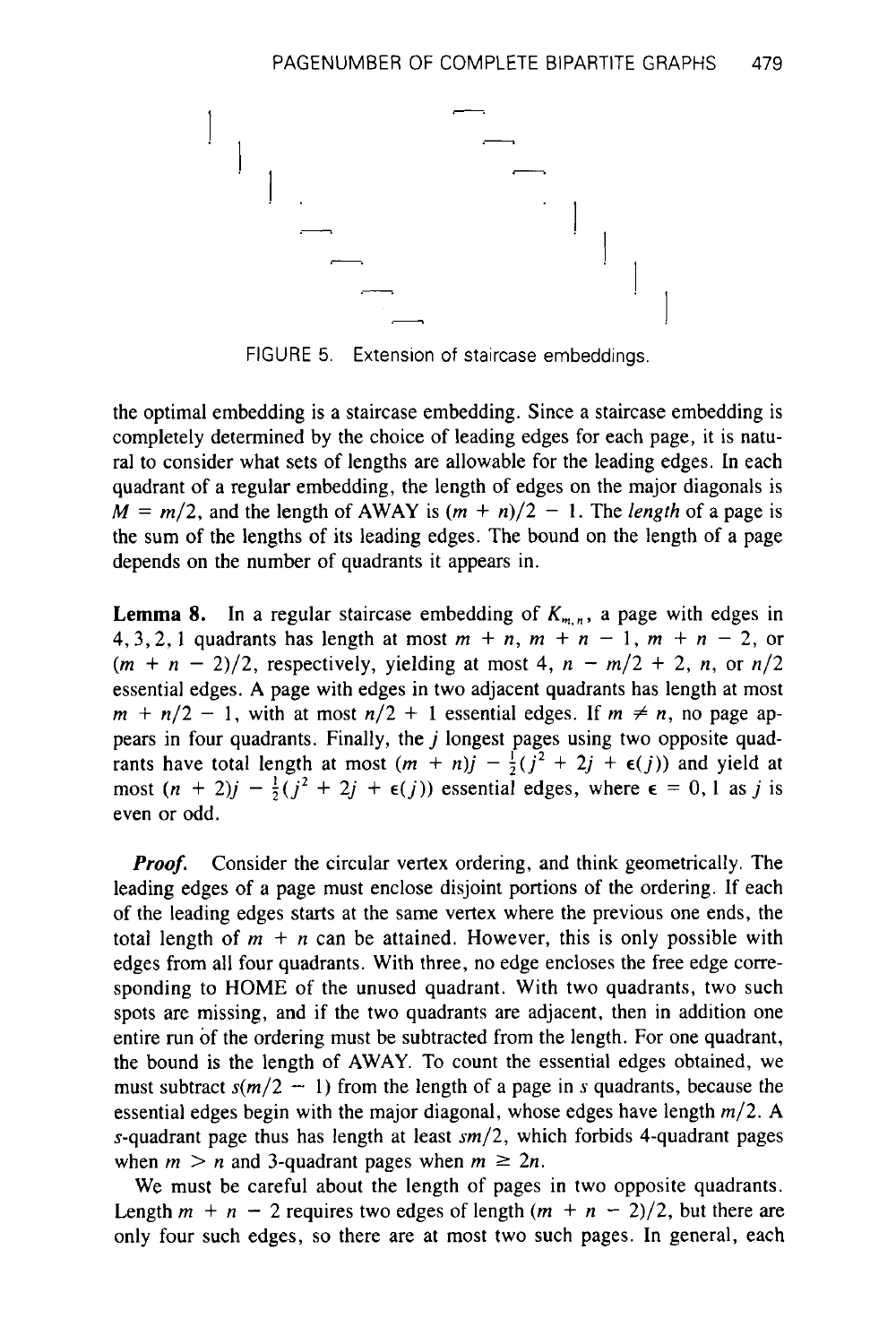

FIGURE 5. Extension of staircase embeddings.

the optimal embedding is a staircase embedding. Since a staircase embedding is completely determined by the choice of leading edges for each page, it is natural to consider what sets of lengths are allowable for the leading edges. In each quadrant of a regular embedding, the length of edges on the major diagonals is  $M = m/2$ , and the length of AWAY is  $(m + n)/2 - 1$ . The *length* of a page is the sum of the lengths of its leading edges. The bound on the length of a page depends on the number of quadrants it appears in.

**Lemma 8.** In a regular staircase embedding of  $K_{m,n}$ , a page with edges in 4, 3, 2, 1 quadrants has length at most  $m + n$ ,  $m + n - 1$ ,  $m + n - 2$ , or  $(m + n - 2)/2$ , respectively, yielding at most 4,  $n - m/2 + 2$ , *n*, or  $n/2$ essential edges. A page with edges in two adjacent quadrants has length at most  $m + n/2 - 1$ , with at most  $n/2 + 1$  essential edges. If  $m \neq n$ , no page appears in four quadrants. Finally, the  $j$  longest pages using two opposite quadpears in four quadrants. Finally, the *j* longest pages using two opposite quad-<br>rants have total length at most  $(m + n)j - \frac{1}{2}(j^2 + 2j + \epsilon(j))$  and yield at rants have total length at most  $(m + n)j - \frac{1}{2}(j^2 + 2j + \epsilon(j))$  and yield at most  $(n + 2)j - \frac{1}{2}(j^2 + 2j + \epsilon(j))$  essential edges, where  $\epsilon = 0, 1$  as j is even or odd.

*Proof.* Consider the circular vertex ordering, and think geometrically. The leading edges of a page must enclose disjoint portions of the ordering. If each of the leading edges starts at the same vertex where the previous one ends, the total length of  $m + n$  can be attained. However, this is only possible with edges from all four quadrants. With three, no edge encloses the free edge corresponding to HOME of the unused quadrant. With two quadrants, two such spots are missing, and if the two quadrants are adjacent, then in addition one entire run of the ordering must be subtracted from the length. For one quadrant, the bound is the length of AWAY. To count the essential edges obtained, we must subtract  $s(m/2 - 1)$  from the length of a page in *s* quadrants, because the essential edges begin with the major diagonal, whose edges have length *m/2.* A s-quadrant page thus has length at least *sm/2,* which forbids 4-quadrant pages when  $m > n$  and 3-quadrant pages when  $m \ge 2n$ .

We must be careful about the length of pages in two opposite quadrants. Length  $m + n - 2$  requires two edges of length  $(m + n - 2)/2$ , but there are only four such edges, so there are at most two such pages. In general, each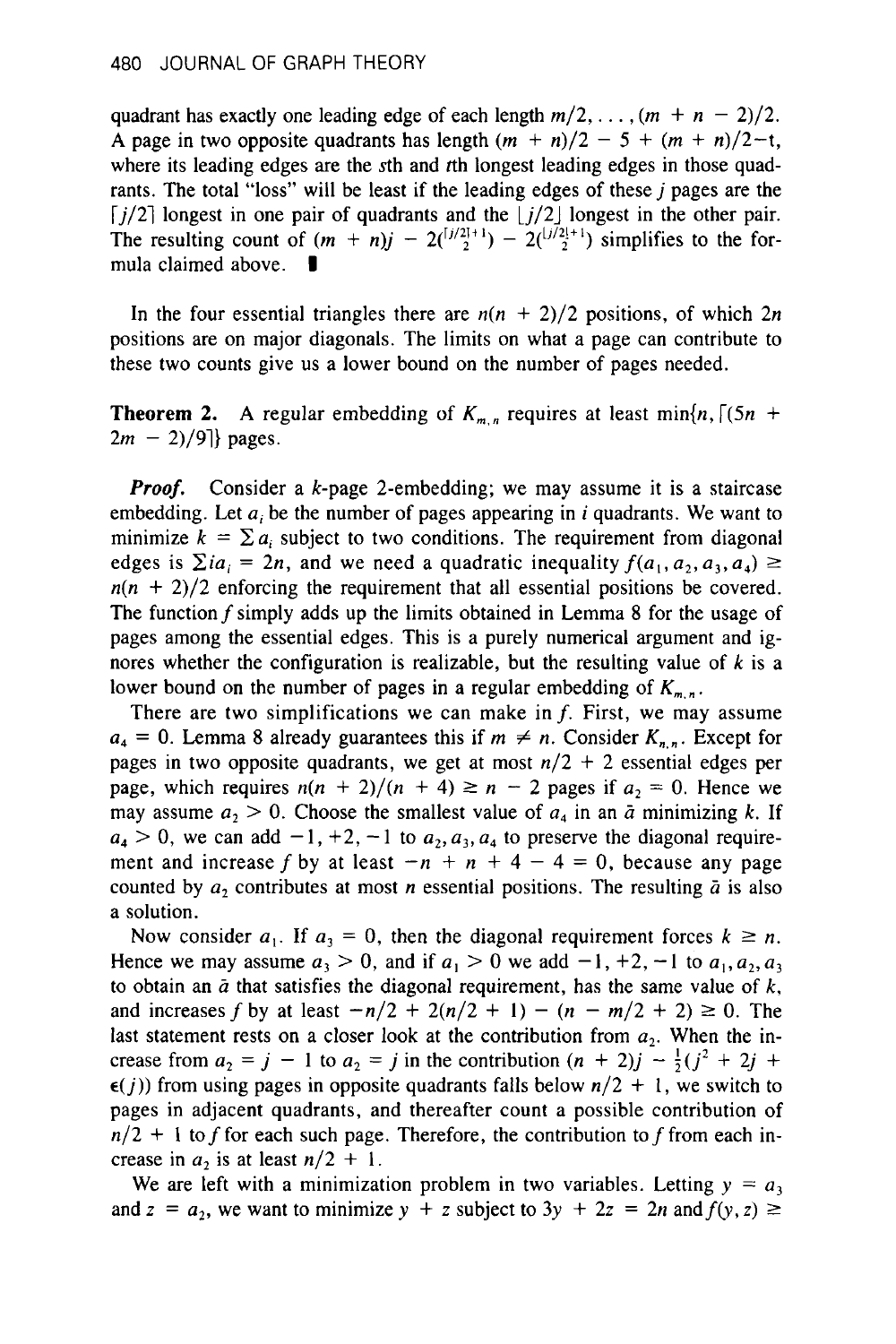quadrant has exactly one leading edge of each length  $m/2$ ,...,  $(m + n - 2)/2$ . A page in two opposite quadrants has length  $(m + n)/2 - 5 + (m + n)/2$ -t, where its leading edges are the  $s$ th and  $r$ th longest leading edges in those quadrants. The total "loss" will be least if the leading edges of these  $j$  pages are the  $[j/2]$  longest in one pair of quadrants and the  $[j/2]$  longest in the other pair.  $|j/2|$  longest in one pair of quadrants and the  $|j/2|$  longest in the other pair.<br>The resulting count of  $(m + n)j - 2\binom{[j/2]+1}{2} - 2\binom{[j/2]+1}{2}$  simplifies to the for-The resulting count of  $(m \text{ mula claimed above})$ 

In the four essential triangles there are  $n(n + 2)/2$  positions, of which  $2n$ positions are on major diagonals. The limits on what a page can contribute to these two counts give us a lower bound on the number of pages needed.

**Theorem 2.** A regular embedding of  $K_{m,n}$  requires at least min{n,  $\lceil (5n + 1) \rceil$  $2m - 2)/9$ ] pages.

*Proof.* Consider a k-page 2-embedding; we may assume it is a staircase embedding. Let *a,* be the number of pages appearing in *i* quadrants. We want to minimize  $k = \sum a_i$  subject to two conditions. The requirement from diagonal edges is  $\sum i a_i = 2n$ , and we need a quadratic inequality  $f(a_1, a_2, a_3, a_4) \geq$  $n(n + 2)/2$  enforcing the requirement that all essential positions be covered. The function f simply adds up the limits obtained in Lemma **8** for the usage of pages among the essential edges. This is a purely numerical argument and ignores whether the configuration **is** realizable, but the resulting value of *k* is a lower bound on the number of pages in a regular embedding of  $K_{m,n}$ .

There are two simplifications we can make in  $f$ . First, we may assume  $a_4 = 0$ . Lemma 8 already guarantees this if  $m \neq n$ . Consider  $K_{n,n}$ . Except for pages in two opposite quadrants, we get at most  $n/2 + 2$  essential edges per page, which requires  $n(n + 2)/(n + 4) \ge n - 2$  pages if  $a_2 = 0$ . Hence we may assume  $a_2 > 0$ . Choose the smallest value of  $a_4$  in an  $\bar{a}$  minimizing k. If  $a_4 > 0$ , we can add  $-1$ ,  $+2$ ,  $-1$  to  $a_2$ ,  $a_3$ ,  $a_4$  to preserve the diagonal requirement and increase f by at least  $-n + n + 4 - 4 = 0$ , because any page counted by  $a_2$  contributes at most *n* essential positions. The resulting  $\bar{a}$  is also a solution.

Now consider  $a_1$ . If  $a_3 = 0$ , then the diagonal requirement forces  $k \ge n$ . Hence we may assume  $a_3 > 0$ , and if  $a_1 > 0$  we add  $-1, +2, -1$  to  $a_1, a_2, a_3$ to obtain an  $\bar{a}$  that satisfies the diagonal requirement, has the same value of  $k$ , and increases f by at least  $-n/2 + 2(n/2 + 1) - (n - m/2 + 2) \ge 0$ . The last statement rests on a closer look at the contribution from  $a_2$ . When the increase from  $a_2 = j - 1$  to  $a_2 = j$  in the contribution  $(n + 2)j - \frac{1}{2}(j^2 + 2j + 1)$  $\epsilon(j)$ ) from using pages in opposite quadrants falls below  $n/2 + 1$ , we switch to pages in adjacent quadrants, and thereafter count a possible contribution of  $n/2 + 1$  to f for each such page. Therefore, the contribution to f from each increase in  $a_2$  is at least  $n/2 + 1$ .

We are left with a minimization problem in two variables. Letting  $y = a_3$ and  $z = a_2$ , we want to minimize  $y + z$  subject to  $3y + 2z = 2n$  and  $f(y, z) \ge$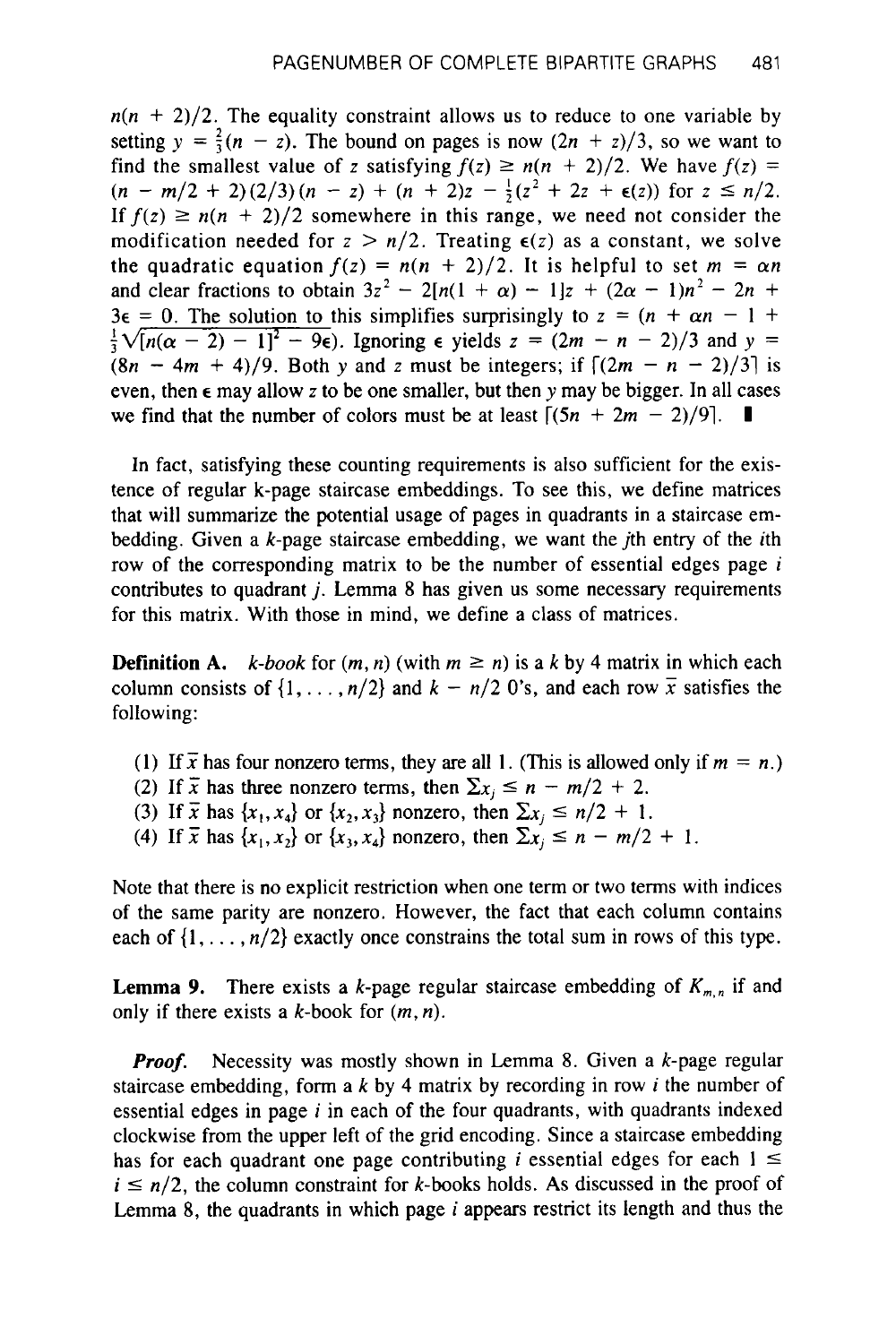$n(n + 2)/2$ . The equality constraint allows us to reduce to one variable by setting  $y = \frac{2}{3}(n - z)$ . The bound on pages is now  $(2n + z)/3$ , so we want to find the smallest value of z satisfying  $f(z) \ge n(n + 2)/2$ . We have  $f(z) =$  $(n - m/2 + 2)(2/3)(n - z) + (n + 2)z - \frac{1}{2}(z^2 + 2z + \epsilon(z))$  for  $z \le n/2$ . If  $f(z) \geq n(n + 2)/2$  somewhere in this range, we need not consider the modification needed for  $z > n/2$ . Treating  $\epsilon(z)$  as a constant, we solve the quadratic equation  $f(z) = n(n + 2)/2$ . It is helpful to set  $m = \alpha n$ and clear fractions to obtain  $3z^2 - 2[n(1 + \alpha) - 1]z + (2\alpha - 1)n^2 - 2n$  +  $3\epsilon = 0$ . The solution to this simplifies surprisingly to  $z = (n + \alpha n - 1 + \alpha)$  $3\epsilon = 0$ . The solution to this simplifies surprisingly to  $z = (n + \alpha n - 1 + \frac{1}{3}\sqrt{[n(\alpha - 2) - 1]^2 - 9\epsilon})$ . Ignoring  $\epsilon$  yields  $z = (2m - n - 2)/3$  and  $y =$  $(8n - 4m + 4)/9$ . Both y and *z* must be integers; if  $\frac{(2m - n - 2)}{3}$  is even, then  $\epsilon$  may allow z to be one smaller, but then y may be bigger. In all cases we find that the number of colors must be at least  $[(5n + 2m - 2)/9]$ . we find that the number of colors must be at least  $[(5n + 2m - 2)/9]$ . **I** 

In fact, satisfying these counting requirements is also sufficient for the existence of regular k-page staircase embeddings. To see this, we define matrices that will summarize the potential usage of pages in quadrants in a staircase embedding. Given a  $k$ -page staircase embedding, we want the *j*th entry of the *i*th row of the corresponding matrix to be the number of essential edges page *<sup>i</sup>* contributes to quadrant *j.* Lemma **8** has given us some necessary requirements for this matrix. With those in mind. we define a class of matrices.

**Definition A.**  $k$ -book for  $(m, n)$  (with  $m \ge n$ ) is a k by 4 matrix in which each column consists of  $\{1, \ldots, n/2\}$  and  $k - n/2$  O's, and each row  $\overline{x}$  satisfies the following:

- (1) If  $\bar{x}$  has four nonzero terms, they are all 1. (This is allowed only if  $m = n$ .)
- (2) If  $\bar{x}$  has three nonzero terms, then  $\sum x_j \le n \frac{m}{2} + 2$ .
- (3) If  $\bar{x}$  has  $\{x_1, x_4\}$  or  $\{x_2, x_3\}$  nonzero, then  $\sum x_j \le n/2 + 1$ .
- (4) If  $\bar{x}$  has  $\{x_1, x_2\}$  or  $\{x_3, x_4\}$  nonzero, then  $\sum x_i \le n m/2 + 1$ .

Note that there is no explicit restriction when one term or two terms with indices of the same parity are nonzero. However, the fact that each column contains each of  $\{1, \ldots, n/2\}$  exactly once constrains the total sum in rows of this type.

**Lemma 9.** There exists a k-page regular staircase embedding of  $K_{m,n}$  if and only if there exists a  $k$ -book for  $(m, n)$ .

*Proof.* Necessity was mostly shown in Lemma 8. Given a k-page regular staircase embedding, form a k by **4** matrix by recording in row *i* the number of essential edges in page *i* in each of the four quadrants, with quadrants indexed clockwise from the upper left of the grid encoding. Since a staircase embedding has for each quadrant one page contributing *i* essential edges for each  $1 \leq$  $i \leq n/2$ , the column constraint for k-books holds. As discussed in the proof of Lemma **8,** the quadrants in which page *i* appears restrict its length and thus the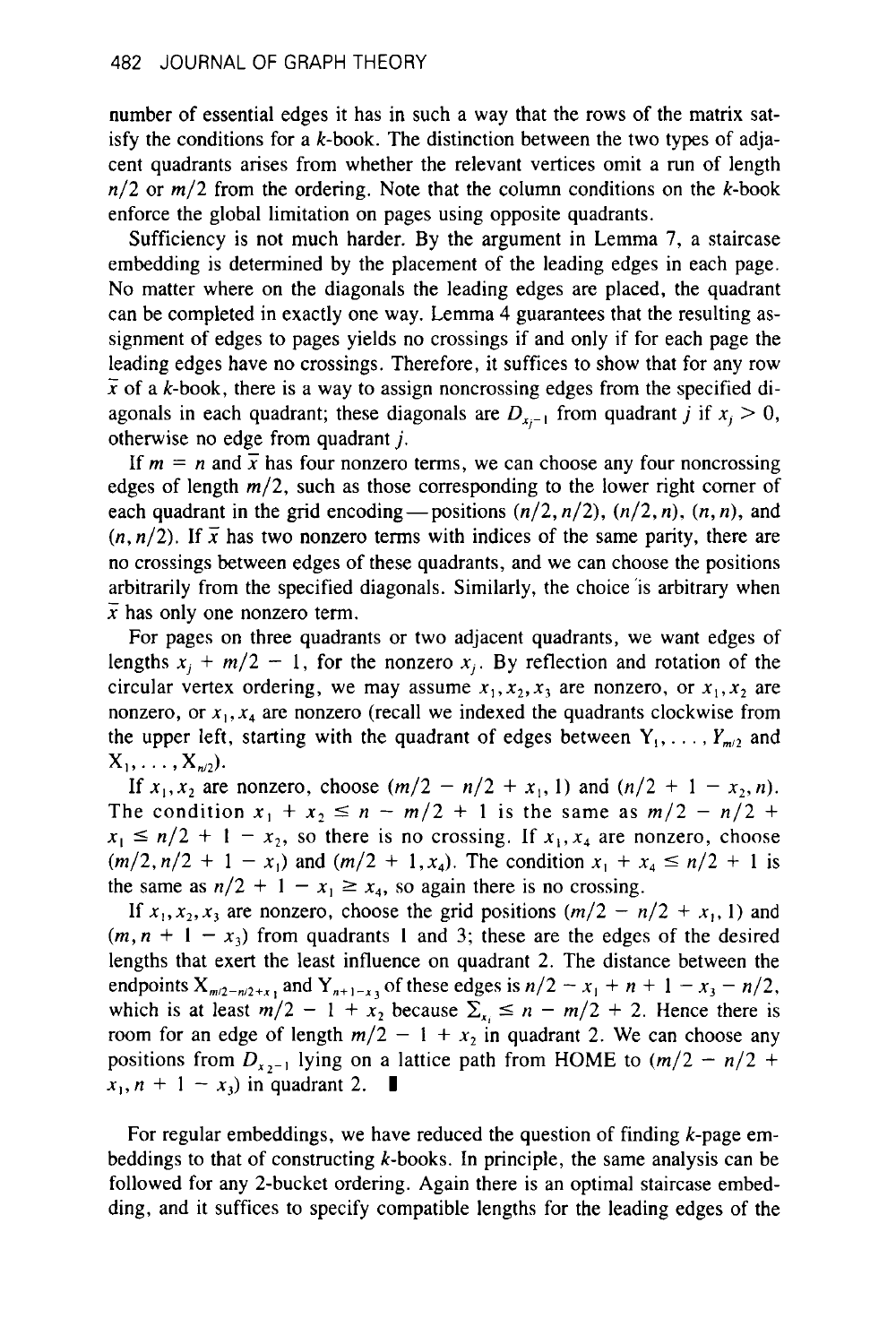number of essential edges it has in such a way that the rows of the matrix satisfy the conditions for a  $k$ -book. The distinction between the two types of adjacent quadrants arises from whether the relevant vertices omit a run of length  $n/2$  or  $m/2$  from the ordering. Note that the column conditions on the k-book enforce the global limitation on pages using opposite quadrants.

Sufficiency is not much harder. By the argument in Lemma 7, a staircase embedding is determined by the placement of the leading edges in each page. No matter where on the diagonals the leading edges are placed, the quadrant can be completed in exactly one way. Lemma 4 guarantees that the resulting assignment of edges to pages yields no crossings if and only if for each page the leading edges have no crossings. Therefore, it suffices to show that for any row  $\bar{x}$  of a k-book, there is a way to assign noncrossing edges from the specified diagonals in each quadrant; these diagonals are  $D_{x-1}$  from quadrant j if  $x_i > 0$ , otherwise no edge from quadrant *j.* 

If  $m = n$  and  $\overline{x}$  has four nonzero terms, we can choose any four noncrossing edges of length *m/2,* such as those corresponding to the lower right comer of each quadrant in the grid encoding—positions  $(n/2, n/2)$ ,  $(n/2, n)$ ,  $(n, n)$ , and  $(n, n/2)$ . If  $\bar{x}$  has two nonzero terms with indices of the same parity, there are no crossings between edges of these quadrants, and we can choose the positions arbitrarily from the specified diagonals. Similarly, the choice 'is arbitrary when  $\bar{x}$  has only one nonzero term.

For pages on three quadrants or two adjacent quadrants, we want edges of lengths  $x_i + m/2 - 1$ , for the nonzero  $x_i$ . By reflection and rotation of the circular vertex ordering, we may assume  $x_1, x_2, x_3$  are nonzero, or  $x_1, x_2$  are nonzero, or  $x_1, x_4$  are nonzero (recall we indexed the quadrants clockwise from the upper left, starting with the quadrant of edges between  $Y_1, \ldots, Y_{m/2}$  and  $X_1, \ldots, X_{n/2}$ ).

If  $x_1, x_2$  are nonzero, choose  $(m/2 - n/2 + x_1, 1)$  and  $(n/2 + 1 - x_2, n)$ . The condition  $x_1 + x_2 \le n - m/2 + 1$  is the same as  $m/2 - n/2 + 1$ The condition  $x_1 + x_2 \le n - m/2 + 1$  is the same as  $m/2 - n/2 + x_1 \le n/2 + 1 - x_2$ , so there is no crossing. If  $x_1, x_4$  are nonzero, choose The condition  $x_1 + x_2 \le n - m/2 + 1$  is the same as  $m/2 - n/2 + x_1 \le n/2 + 1 - x_2$ , so there is no crossing. If  $x_1, x_4$  are nonzero, choose  $(m/2, n/2 + 1 - x_1)$  and  $(m/2 + 1, x_4)$ . The condition  $x_1 + x_4 \le n/2 + 1$  is the same as  $n^$  $(m/2, n/2 + 1 - x_1)$  and  $(m/2 + 1, x_4)$ . The condition  $x_1 + x_4 \le n/2 + 1$  is the same as  $n/2 + 1 - x_1 \ge x_4$ , so again there is no crossing.

If  $x_1, x_2, x_3$  are nonzero, choose the grid positions  $(m/2 - n/2 + x_1, 1)$  and  $(m, n + 1 - x_1)$  from quadrants 1 and 3; these are the edges of the desired lengths that exert the least influence on quadrant *2.* The distance between the endpoints  $X_{m/2-n/2+x_1}$  and  $Y_{n+1-x_3}$  of these edges is  $n/2 - x_1 + n + 1 - x_3 - n/2$ , which is at least  $m/2 - 1 + x_2$  because  $\sum_{x_i} \le n - m/2 + 2$ . Hence there is room for an edge of length  $m/2 - 1 + x_2$  in quadrant 2. We can choose any room for an edge of length  $m/2 - 1 + x_2$  in quadrant 2. We can choose any positions from  $D_{x_2-1}$  lying on a lattice path from HOME to  $(m/2 - n/2 +$  $x_1, n + 1 - x_3$  in quadrant 2. **l**at<br>∎

For regular embeddings, we have reduced the question of finding k-page embeddings to that of constructing  $k$ -books. In principle, the same analysis can be followed for any 2-bucket ordering. Again there is an optimal staircase embedding, and it suffices to specify compatible lengths for the leading edges of the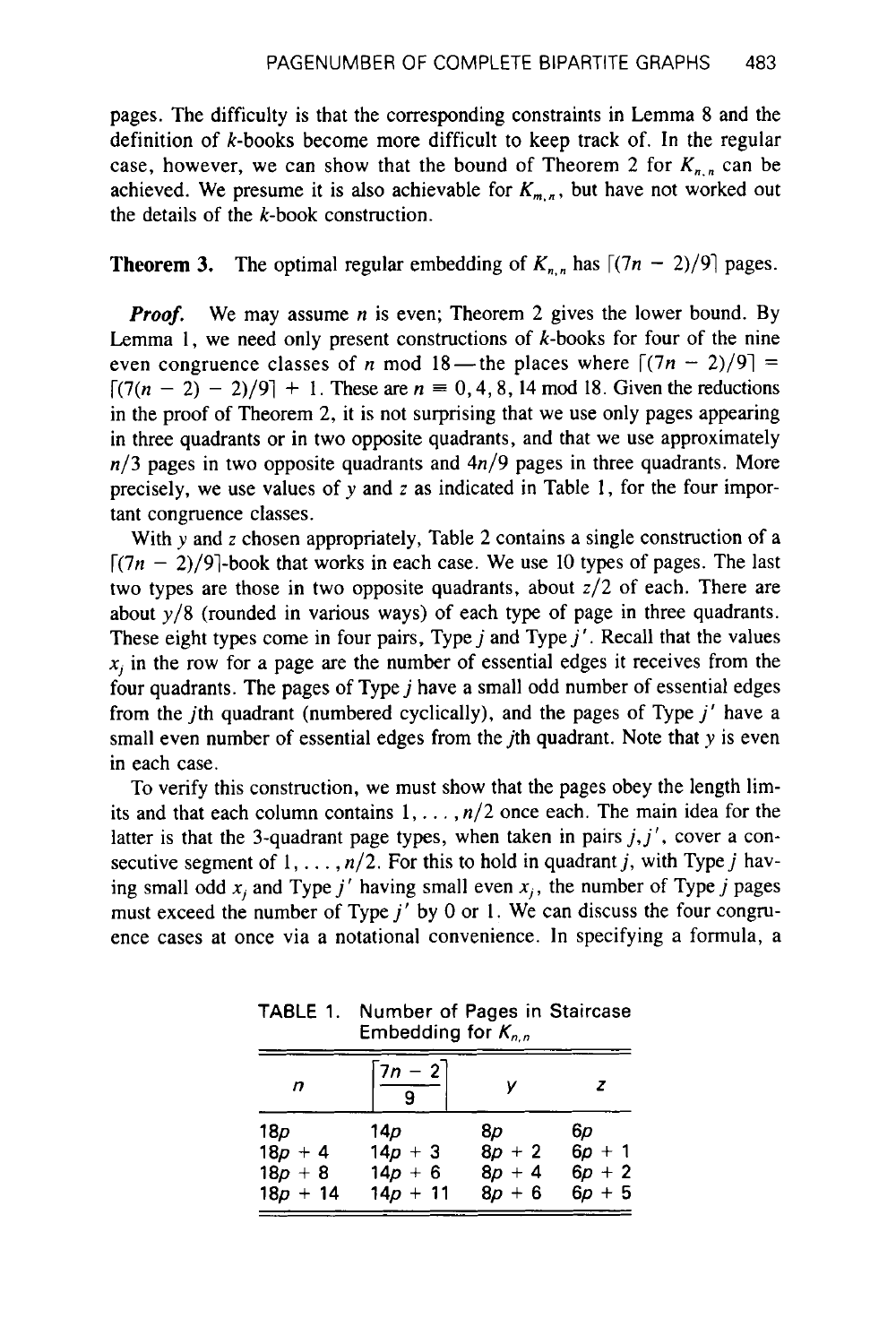pages. The difficulty is that the corresponding constraints in Lemma **8** and the definition of k-books become more difficult to keep track of. In the regular case, however, we can show that the bound of Theorem 2 for  $K_{n,n}$  can be achieved. We presume it is also achievable for  $K_{m,n}$ , but have not worked out the details of the k-book construction.

#### **Theorem 3.** The optimal regular embedding of  $K_{n,n}$  has  $\lceil (7n - 2)/9 \rceil$  pages.

*Proof.* We may assume *n* is even; Theorem 2 gives the lower bound. By Lemma 1, we need only present constructions of  $k$ -books for four of the nine even congruence classes of *n* mod 18—the places where  $\lceil (7n - 2)/9 \rceil$  =  $[7(n - 2) - 2)/9$  + 1. These are  $n \equiv 0, 4, 8, 14 \mod 18$ . Given the reductions in the proof of Theorem 2, it is not surprising that we use only pages appearing in three quadrants or in two opposite quadrants, and that we use approximately  $n/3$  pages in two opposite quadrants and  $4n/9$  pages in three quadrants. More precisely, we use values of y and *z* as indicated in Table 1, for the four important congruence classes.

With y and z chosen appropriately, Table 2 contains a single construction of a  $\lceil (7n - 2)/9 \rceil$ -book that works in each case. We use 10 types of pages. The last two types are those in two opposite quadrants, about  $z/2$  of each. There are about *y/8* (rounded in various ways) of each type of page in three quadrants. These eight types come in four pairs, Type  $j$  and Type  $j'$ . Recall that the values  $x_j$  in the row for a page are the number of essential edges it receives from the four quadrants. The pages of Type *j* have a small odd number of essential edges from the jth quadrant (numbered cyclically), and the pages of Type *j'* have a small even number of essential edges from the *j*th quadrant. Note that *y* is even in each case.

To verify this construction, we must show that the pages obey the length limits and that each column contains  $1, \ldots, n/2$  once each. The main idea for the latter is that the 3-quadrant page types, when taken in pairs  $j, j'$ , cover a consecutive segment of  $1, \ldots, n/2$ . For this to hold in quadrant j, with Type j having small odd  $x_i$  and Type j' having small even  $x_i$ , the number of Type j pages must exceed the number of Type  $j'$  by 0 or 1. We can discuss the four congruence cases at once via a notational convenience. In specifying a formula, a

**TABLE** 1. **Number** of **Pages in Staircase Embedding** for *K,,,,,* 

| n          | $7n - 2$    |          | z        |
|------------|-------------|----------|----------|
| 18p        | 14 <i>p</i> | 8p       | 6р       |
| $18p + 4$  | $14p + 3$   | $8p + 2$ | $6p + 1$ |
| $18p + 8$  | $14p + 6$   | $8p + 4$ | $6p + 2$ |
| $18p + 14$ | $14p + 11$  | $8p + 6$ | $6p + 5$ |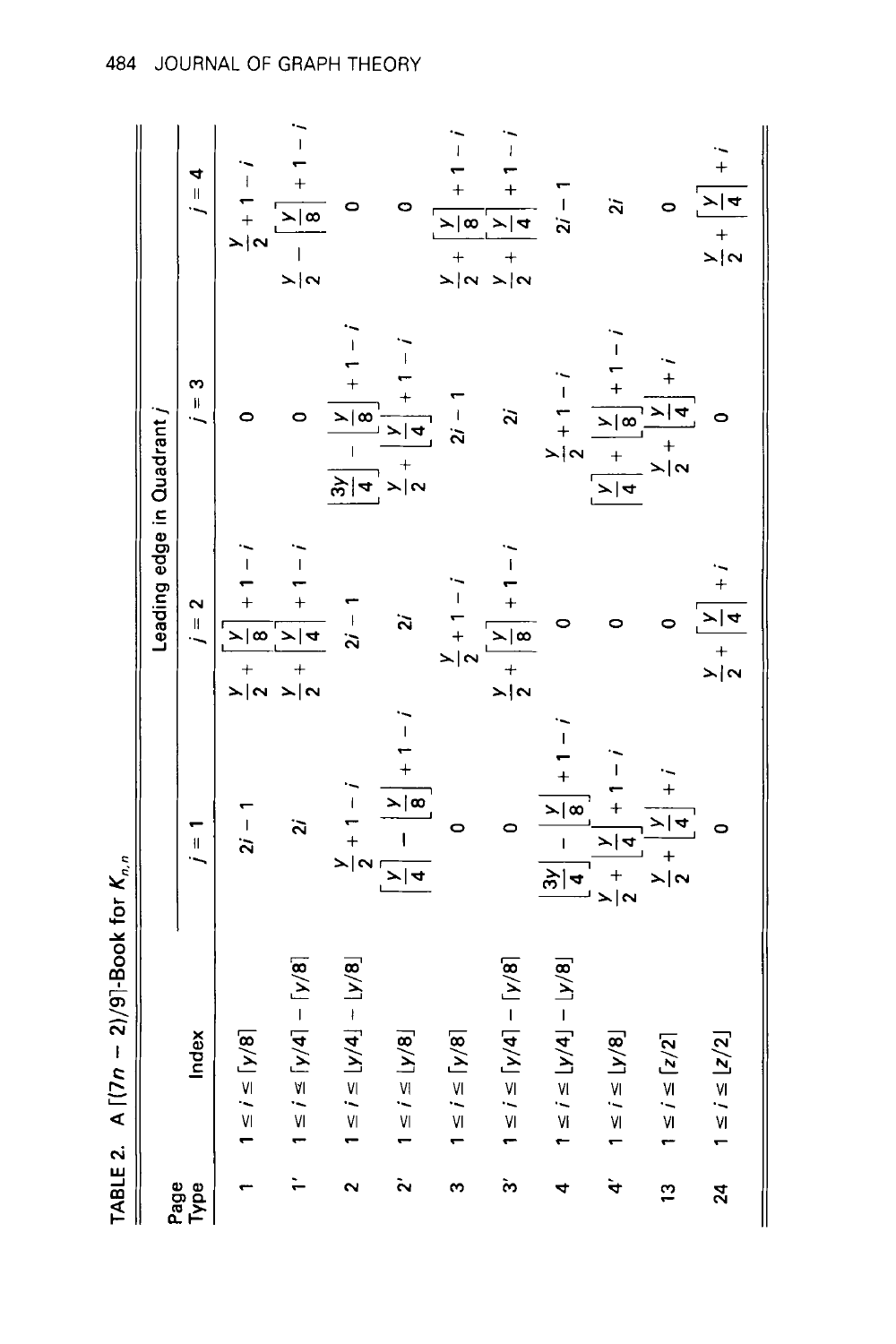|                    | TABLE 2. A $\lceil (7n-2)/9 \rceil$ -Book for $K_{n,n}$ |                                                                                                                                                 |                                                                           |                                                                                |                                                                                                                |
|--------------------|---------------------------------------------------------|-------------------------------------------------------------------------------------------------------------------------------------------------|---------------------------------------------------------------------------|--------------------------------------------------------------------------------|----------------------------------------------------------------------------------------------------------------|
|                    |                                                         |                                                                                                                                                 | Leading edge in Quadrant /                                                |                                                                                |                                                                                                                |
| Page<br>Type       | Index                                                   | $i = 1$                                                                                                                                         | $j = 2$                                                                   | ო<br>$\mathbf{H}$                                                              | 4<br>$\frac{1}{2}$                                                                                             |
|                    | $1 \le i \le [y/8]$                                     | $2i - 1$                                                                                                                                        | $\frac{1}{1}$<br>$\frac{1}{\sqrt{2}}$<br>$+$<br>$\overline{\phantom{0}+}$ | 0                                                                              | $\frac{y}{2} + 1 = i$                                                                                          |
|                    | $ 8/4  - 1/8 $<br>$1 \le i \le [y]$                     | $\ddot{\rm s}$                                                                                                                                  | $-1$ $ +$<br>$\frac{1}{2}$<br>$\frac{1}{2}$                               | 0                                                                              | $i-1$<br>$\mathbb{R}$ $\alpha$<br>$\frac{1}{\lambda  \alpha}$                                                  |
| $\sim$             | $ 4  -  y/8 $<br>$1 \le i \le  y $                      |                                                                                                                                                 | $2i - 1$                                                                  | ;<br>1<br>$\frac{1}{1}$<br>$\frac{1}{8}$<br>$\mathbb{F}$<br>$\frac{1}{2}$ ज्ञि | 0                                                                                                              |
| Ñ                  | $1 \le i \le [y/8]$                                     | $i-1$<br>$\frac{y}{2} + 1 = i$<br>$\boxed{\frac{y}{4}}$                                                                                         | $\ddot{\rm s}$                                                            | $i-1$<br>$\frac{\sum x_i}{4}$<br>$+\frac{1}{2}$                                | 0                                                                                                              |
| ω                  | $\sqrt{8}$<br>$1 \le i \le [y]$                         | 0                                                                                                                                               | $\frac{y}{2} + 1 - i$                                                     | $2i - 1$                                                                       | $\overline{1}$<br>$\ddot{}$<br>$\frac{1}{8}$<br>$+\qquad+\qquad+$<br>$\Rightarrow \alpha\> \Rightarrow \alpha$ |
| ູ<br>ຕ             | $ 8/4  - 1/8 $<br>$1 \le i \le [y]$                     | $\bullet$                                                                                                                                       | $1 - i$<br>$\frac{1}{8}$<br>$\frac{1}{\frac{1}{2}}$                       | $\ddot{\rm s}$                                                                 | $\overline{1}$<br>$\ddot{}$<br>$\frac{1}{4}$                                                                   |
| 4                  | $ 8/4  -  4/8 $<br>$1 \le i \le  y $                    | $\frac{1}{2}$<br>$\frac{1}{1}$<br>$\frac{\sum  \mathbf{\alpha} }{\mathbf{B}}$<br>$\overline{1}$<br>$\frac{2}{\frac{2}{\frac{1}{2}}\frac{1}{4}}$ | $\circ$                                                                   | $\frac{y}{2} + 1 - i$                                                          | $2i - 1$                                                                                                       |
| $\dot{\mathbf{r}}$ | $\overline{8}$<br>$1 \leq i \leq  y $                   | $-1$<br>$\frac{y}{4}$<br>$\frac{1}{2}$                                                                                                          | 0                                                                         | $\frac{1}{1}$<br>$\frac{1}{\geq 0}$<br>$+$<br>$\frac{y}{4}$                    | $\ddot{\rm s}$                                                                                                 |
| 13                 | $\overline{2}$<br>$1 \le i \le [z]$                     | $+$<br>$\frac{1}{\frac{1}{4}}$<br>$\frac{1}{\frac{1}{\lambda}+\lambda}$                                                                         |                                                                           | $\frac{1}{1}$<br>$\frac{1}{2}$ $\frac{1}{4}$<br>$+\frac{1}{2}$                 | $\circ$                                                                                                        |
| 24                 | $\overline{2}$<br>$1 \le i \le  z $                     | $\bullet$                                                                                                                                       | $\frac{y}{4} + i$<br>$+\frac{1}{2}$                                       |                                                                                | $\frac{x}{4}$<br>$+\n> \n\alpha $                                                                              |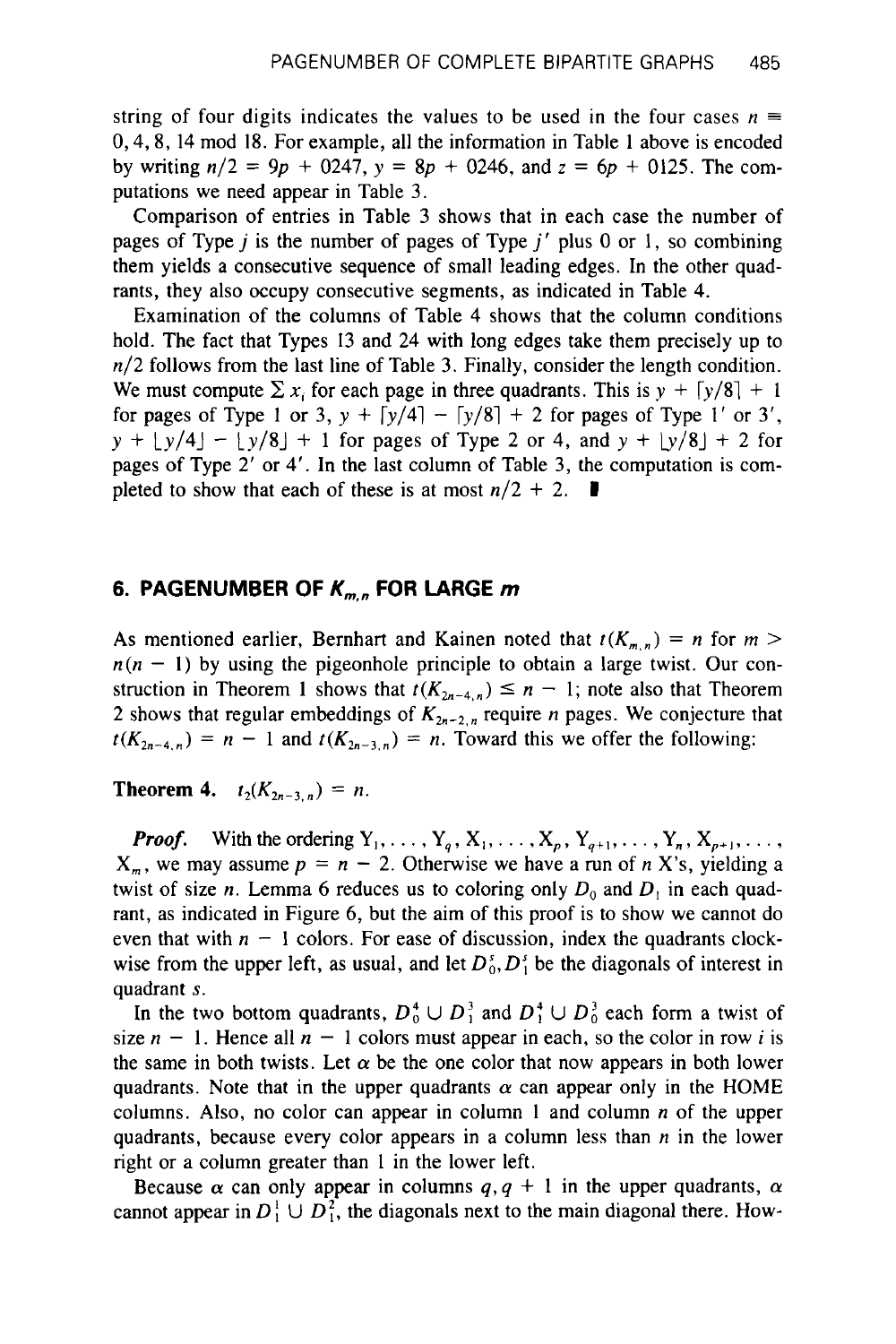string of four digits indicates the values to be used in the four cases  $n \equiv$ 0,4,8, 14 mod 18. For example, all the information in Table 1 above is encoded by writing n/2 = **9p** + 0247, y = *8p* + 0246, and *z* = *6p* + 0125. The computations we need appear in Table 3.

Comparison of entries in Table 3 shows that in each case the number of pages of Type j is the number of pages of Type *j'* plus 0 or 1, **so** combining them yields a consecutive sequence of small leading edges. In the other quadrants, they also occupy consecutive segments, as indicated in Table 4.

Examination of the columns of Table 4 shows that the column conditions hold. The fact that Types 13 and 24 with long edges take them precisely up to *n/2* follows from the last line of Table 3. Finally, consider the length condition. We must compute  $\sum x_i$  for each page in three quadrants. This is  $y + \lceil y/8 \rceil + 1$ for pages of Type 1 or 3,  $y + \lceil y/4 \rceil - \lceil y/8 \rceil + 2$  for pages of Type 1' or 3',  $y + \lfloor y/4 \rfloor - \lfloor y/8 \rfloor + 1$  for pages of Type 2 or 4, and  $y + \lfloor y/8 \rfloor + 2$  for pages of Type 2' **or** 4'. In the last column of Table 3, the computation is completed to show that each of these is at most  $n/2 + 2$ .

# **6. PAGENUMBER OF**  $K_{m,n}$  **FOR LARGE**  $m$

As mentioned earlier, Bernhart and Kainen noted that  $t(K_{m,n}) = n$  for  $m >$  $n(n - 1)$  by using the pigeonhole principle to obtain a large twist. Our construction in Theorem 1 shows that  $t(K_{2n-4,n}) \leq n-1$ ; note also that Theorem 2 shows that regular embeddings of  $K_{2n-2,n}$  require *n* pages. We conjecture that  $f(K_{2n-4,n}) = n - 1$  and  $f(K_{2n-3,n}) = n$ . Toward this we offer the following:

**Theorem 4.**  $t_2(K_{2n-3,n}) = n$ .

*Proof.* With the ordering  $Y_1, \ldots, Y_q, X_1, \ldots, X_p, Y_{q+1}, \ldots, Y_n, X_{p+1}, \ldots$  $X_m$ , we may assume  $p = n - 2$ . Otherwise we have a run of *n* X's, yielding a twist of size *n*. Lemma 6 reduces us to coloring only  $D_0$  and  $D_1$  in each quadrant, as indicated in Figure *6,* but the aim of this proof is to show we cannot do even that with  $n - 1$  colors. For ease of discussion, index the quadrants clockwise from the upper left, as usual, and let  $D_0^s$ ,  $D_1^s$  be the diagonals of interest in quadrant **s.** 

In the two bottom quadrants,  $D_0^4 \cup D_1^3$  and  $D_1^4 \cup D_0^3$  each form a twist of size  $n - 1$ . Hence all  $n - 1$  colors must appear in each, so the color in row i is the same in both twists. Let  $\alpha$  be the one color that now appears in both lower quadrants. Note that in the upper quadrants  $\alpha$  can appear only in the HOME columns. Also, no color can appear in column **1** and column *n* of the upper quadrants, because every color appears in a column less than *n* in the lower right or a column greater than 1 in the lower left.

Because  $\alpha$  can only appear in columns  $q, q + 1$  in the upper quadrants,  $\alpha$ cannot appear in  $D_1^1 \cup D_1^2$ , the diagonals next to the main diagonal there. How-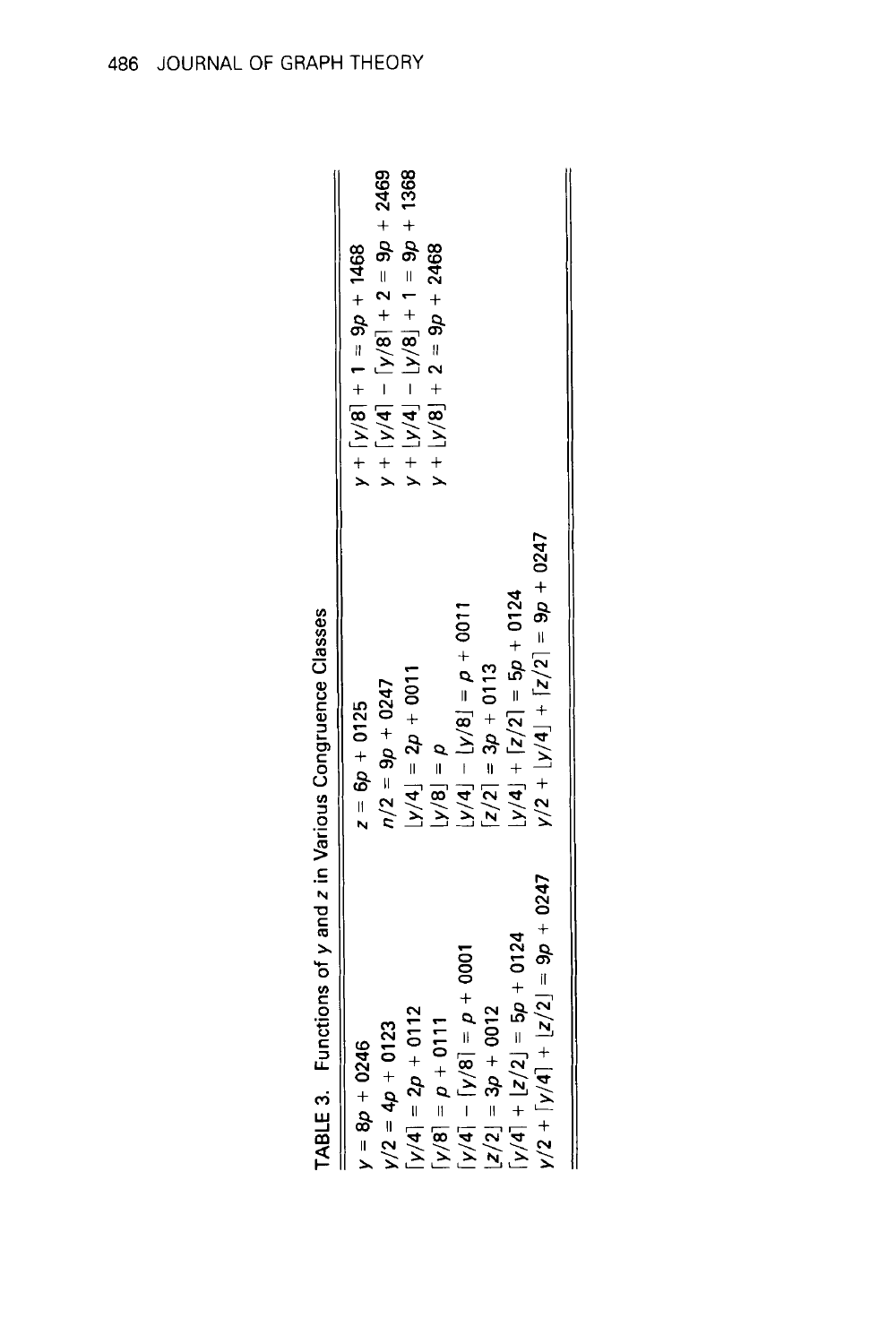| $y = 8p + 0246$                                                                                             | $z = 6p + 0125$                      | $y + [y/8] + 1 = 9p + 1468$         |
|-------------------------------------------------------------------------------------------------------------|--------------------------------------|-------------------------------------|
| $y/2 = 4p + 0123$                                                                                           | $n/2 = 9p + 0247$                    | $y + [y/4] - [y/8] + 2 = 9p + 2469$ |
| $[y/4] = 2p + 0112$                                                                                         | $[y/4] = 2p + 0011$                  | $y + [y/4] - [y/8] + 1 = 9p + 1368$ |
| $[y/8] = p + 011$                                                                                           | $d = [8/A]$                          | $y + 2 = 9p + 2468$                 |
| $\begin{bmatrix} 7/4 \\ -18/4 \\ -64 \end{bmatrix}$ = $\begin{bmatrix} 8/7 \\ -18/4 \\ -18/4 \end{bmatrix}$ | $\Gamma_{\rm{D}}(A) - [8/4] - [6/4]$ |                                     |
| $ z/2  = 3p + 0012$                                                                                         | $ z/2  = 3p + 0113$                  |                                     |
| $[y/4] + [z/2] = 5p + 0124$                                                                                 | $y/4$ + $ z/2 $ = 5p + 0124          |                                     |
| $y/2 + [y/4] + [z/2] = 9p + 0247$                                                                           | $y/2 + [y/4] + [z/2] = 9p + 0247$    |                                     |
|                                                                                                             |                                      |                                     |

Functions of y and z in Various Congruence Classes TABLE 3.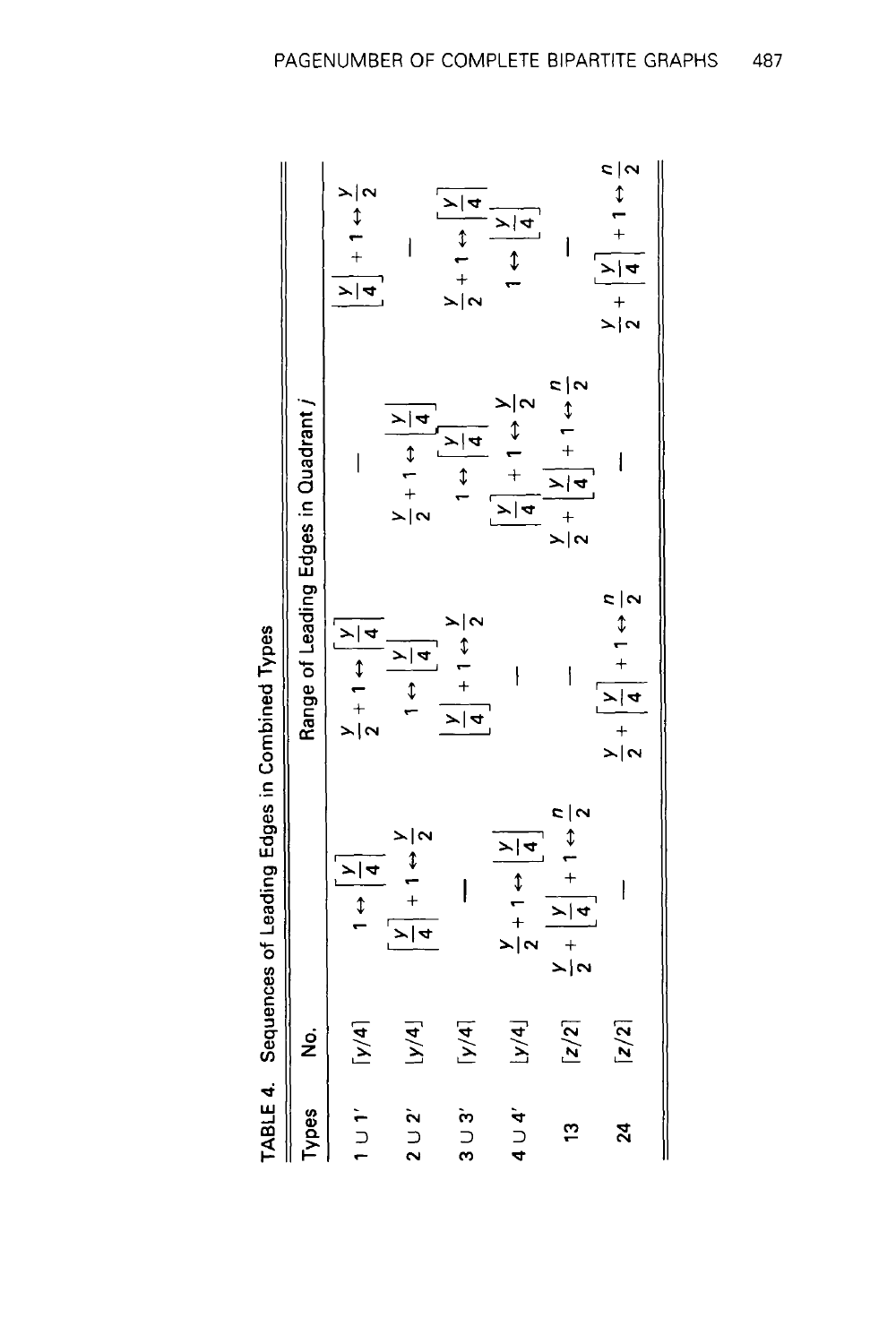|                 |                     | TABLE 4. Sequences of Leading Edges in Combined Types                      |                                                                            |                                                                                                                                                                                                            |                                                                                                                 |
|-----------------|---------------------|----------------------------------------------------------------------------|----------------------------------------------------------------------------|------------------------------------------------------------------------------------------------------------------------------------------------------------------------------------------------------------|-----------------------------------------------------------------------------------------------------------------|
| Types           | ġ                   |                                                                            | Range of Leading Edges in Quadrant /                                       |                                                                                                                                                                                                            |                                                                                                                 |
| 1 U 1'          | $\lceil y/4 \rceil$ | $\begin{array}{c} 1 \\ \hline 4 \end{array}$                               | $\frac{y}{2} + 1 \leftrightarrow \frac{y}{4}$                              |                                                                                                                                                                                                            | $\frac{y}{4} + 1 \leftrightarrow \frac{y}{2}$                                                                   |
| $2 \cup 2'$     | [y/4]               | $\frac{y}{4} + 1 \leftrightarrow \frac{y}{2}$                              | $\frac{1}{4}$                                                              | $\frac{y}{2} + 1 \leftrightarrow \boxed{\frac{y}{4}}$                                                                                                                                                      |                                                                                                                 |
| $3 \cup 3'$     | $\lceil y/4 \rceil$ |                                                                            | $\left[\frac{y}{4}\right] + 1 \leftrightarrow \frac{y}{2}$                 | $\begin{array}{c c c}\n1 & \rightarrow & \rightarrow & \rightarrow \\ \hline\n\downarrow & \downarrow & \downarrow & \downarrow \\ \hline\n\downarrow & \downarrow & \downarrow & \downarrow\n\end{array}$ | $\frac{y}{2} + 1 \leftrightarrow \boxed{\frac{y}{4}}$                                                           |
| $4 \cup 4'$     | y/4                 | $\frac{y}{2} + 1 \leftrightarrow \frac{y}{4}$                              |                                                                            | $\frac{y}{4} + 1 \leftrightarrow \frac{y}{2}$                                                                                                                                                              | $\begin{array}{c c}\n\hline\n\downarrow\downarrow\downarrow\downarrow\downarrow\downarrow\downarrow\end{array}$ |
| $\frac{1}{2}$   | $\lceil z/2 \rceil$ | $\frac{y}{2} + \left  \frac{y}{4} \right  + 1 \leftrightarrow \frac{n}{2}$ | $\overline{1}$                                                             | $\frac{y}{2} + \left  \frac{y}{4} \right  + 1 \leftrightarrow \frac{n}{2}$                                                                                                                                 |                                                                                                                 |
| $\overline{24}$ | $\lceil z/2 \rceil$ |                                                                            | $\frac{y}{2} + \left  \frac{y}{4} \right  + 1 \leftrightarrow \frac{n}{2}$ |                                                                                                                                                                                                            | $\frac{y}{2} + \left[\frac{y}{4}\right] + 1 \leftrightarrow \frac{n}{2}$                                        |
|                 |                     |                                                                            |                                                                            |                                                                                                                                                                                                            |                                                                                                                 |

 $\ddot{r}$ Č ū ÷  $\frac{1}{2}$ **C**  $\mathbf{I}$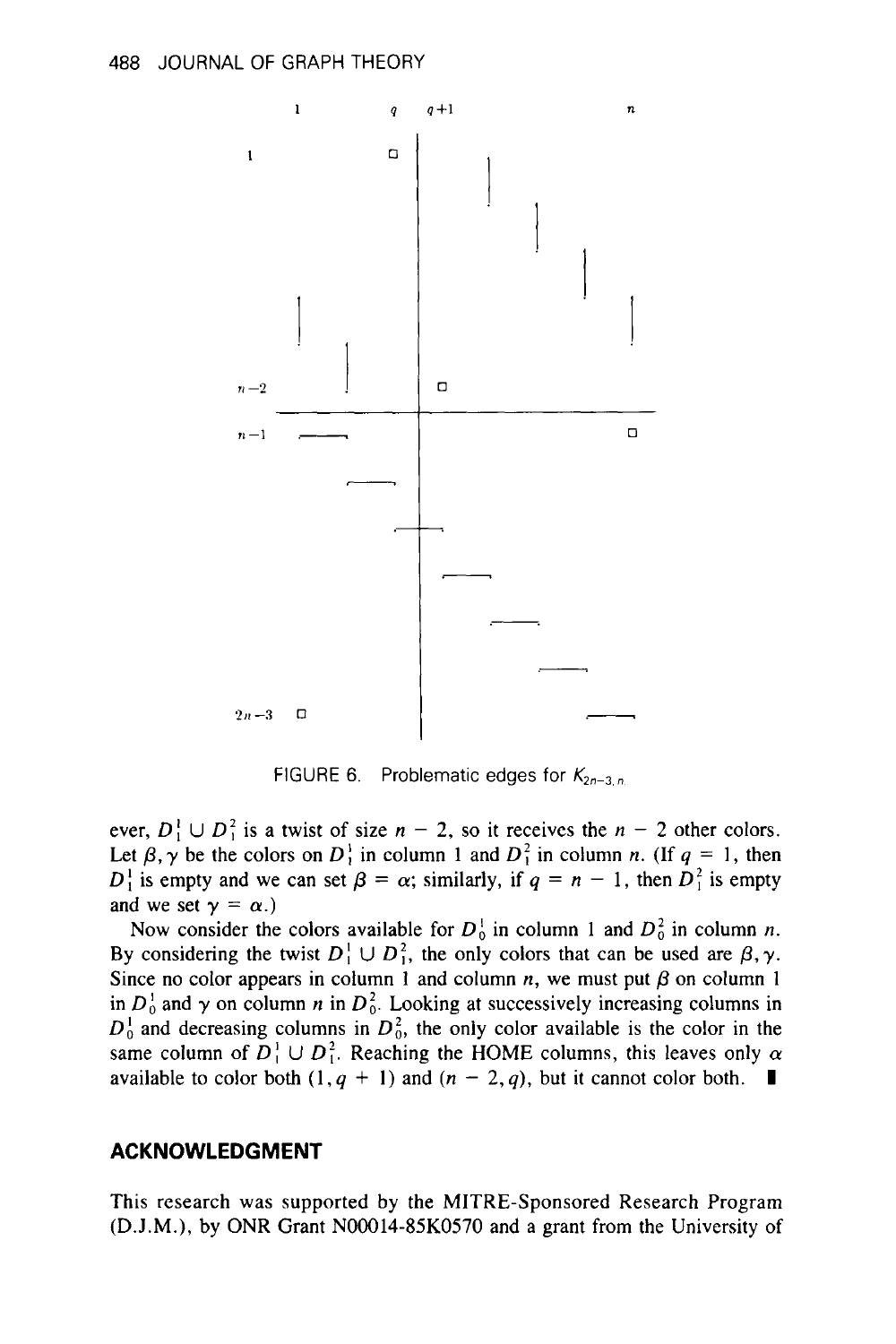

FIGURE 6. Problematic edges for *K2n-3,n* 

ever,  $D_1^1 \cup D_1^2$  is a twist of size  $n-2$ , so it receives the  $n-2$  other colors. Let  $\beta$ ,  $\gamma$  be the colors on  $D_1^1$  in column 1 and  $D_1^2$  in column *n*. (If  $q = 1$ , then  $D_1^1$  is empty and we can set  $\beta = \alpha$ ; similarly, if  $q = n - 1$ , then  $D_1^2$  is empty and we set  $\gamma = \alpha$ .)

Now consider the colors available for  $D_0^1$  in column 1 and  $D_0^2$  in column *n*. By considering the twist  $D_1^1 \cup D_1^2$ , the only colors that can be used are  $\beta$ ,  $\gamma$ . Since no color appears in column 1 and column *n*, we must put  $\beta$  on column 1 in  $D_0^1$  and  $\gamma$  on column n in  $D_0^2$ . Looking at successively increasing columns in  $D_0^1$  and decreasing columns in  $D_0^2$ , the only color available is the color in the same column of  $D_1^1 \cup D_1^2$ . Reaching the HOME columns, this leaves only  $\alpha$ available to color both  $(1, q + 1)$  and  $(n - 2, q)$ , but it cannot color both.  $\blacksquare$ 

#### **ACKNOWLEDGMENT**

This research was supported by the MITRE-Sponsored Research Program (D.J.M.), by ONR Grant NOOO14-85K0570 and a grant from the University of